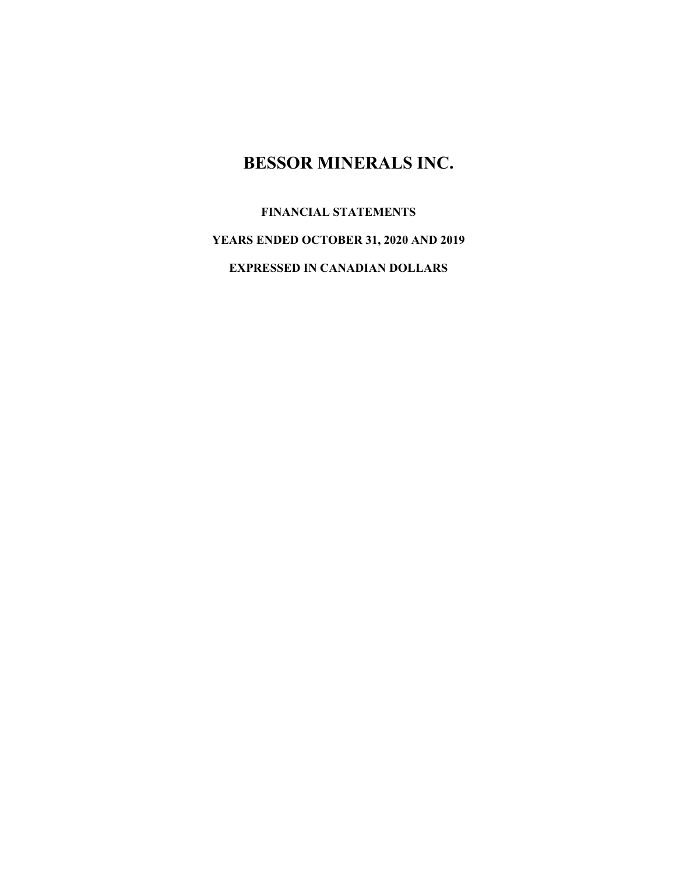# **BESSOR MINERALS INC.**

**FINANCIAL STATEMENTS YEARS ENDED OCTOBER 31, 2020 AND 2019 EXPRESSED IN CANADIAN DOLLARS**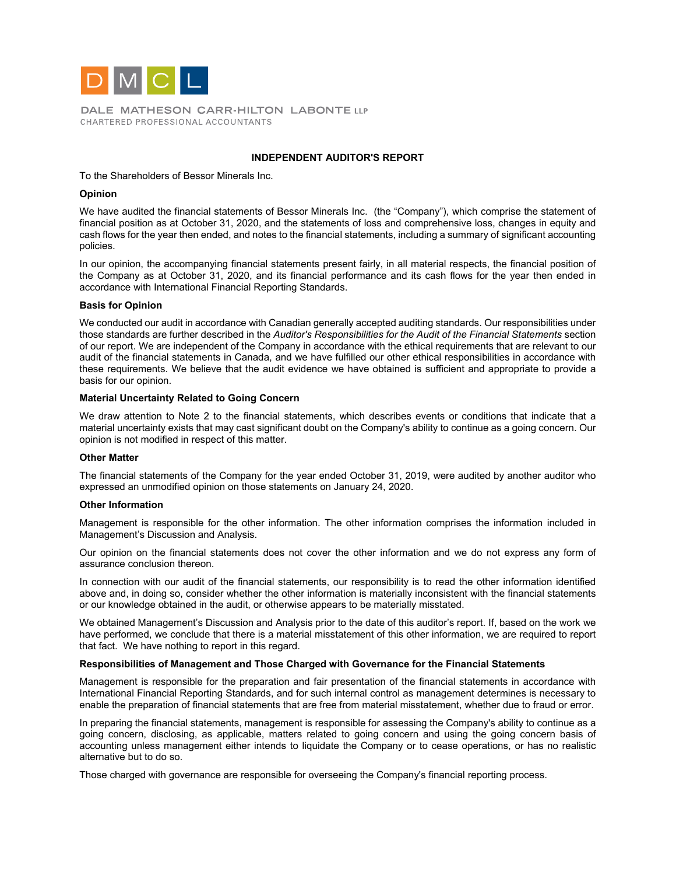

DALE MATHESON CARR-HILTON LABONTE LLP CHARTERED PROFESSIONAL ACCOUNTANTS

#### **INDEPENDENT AUDITOR'S REPORT**

#### To the Shareholders of Bessor Minerals Inc.

#### **Opinion**

We have audited the financial statements of Bessor Minerals Inc. (the "Company"), which comprise the statement of financial position as at October 31, 2020, and the statements of loss and comprehensive loss, changes in equity and cash flows for the year then ended, and notes to the financial statements, including a summary of significant accounting policies.

In our opinion, the accompanying financial statements present fairly, in all material respects, the financial position of the Company as at October 31, 2020, and its financial performance and its cash flows for the year then ended in accordance with International Financial Reporting Standards.

#### **Basis for Opinion**

We conducted our audit in accordance with Canadian generally accepted auditing standards. Our responsibilities under those standards are further described in the *Auditor's Responsibilities for the Audit of the Financial Statements* section of our report. We are independent of the Company in accordance with the ethical requirements that are relevant to our audit of the financial statements in Canada, and we have fulfilled our other ethical responsibilities in accordance with these requirements. We believe that the audit evidence we have obtained is sufficient and appropriate to provide a basis for our opinion.

#### **Material Uncertainty Related to Going Concern**

We draw attention to Note 2 to the financial statements, which describes events or conditions that indicate that a material uncertainty exists that may cast significant doubt on the Company's ability to continue as a going concern. Our opinion is not modified in respect of this matter.

#### **Other Matter**

The financial statements of the Company for the year ended October 31, 2019, were audited by another auditor who expressed an unmodified opinion on those statements on January 24, 2020.

#### **Other Information**

Management is responsible for the other information. The other information comprises the information included in Management's Discussion and Analysis.

Our opinion on the financial statements does not cover the other information and we do not express any form of assurance conclusion thereon.

In connection with our audit of the financial statements, our responsibility is to read the other information identified above and, in doing so, consider whether the other information is materially inconsistent with the financial statements or our knowledge obtained in the audit, or otherwise appears to be materially misstated.

We obtained Management's Discussion and Analysis prior to the date of this auditor's report. If, based on the work we have performed, we conclude that there is a material misstatement of this other information, we are required to report that fact. We have nothing to report in this regard.

#### **Responsibilities of Management and Those Charged with Governance for the Financial Statements**

Management is responsible for the preparation and fair presentation of the financial statements in accordance with International Financial Reporting Standards, and for such internal control as management determines is necessary to enable the preparation of financial statements that are free from material misstatement, whether due to fraud or error.

In preparing the financial statements, management is responsible for assessing the Company's ability to continue as a going concern, disclosing, as applicable, matters related to going concern and using the going concern basis of accounting unless management either intends to liquidate the Company or to cease operations, or has no realistic alternative but to do so.

Those charged with governance are responsible for overseeing the Company's financial reporting process.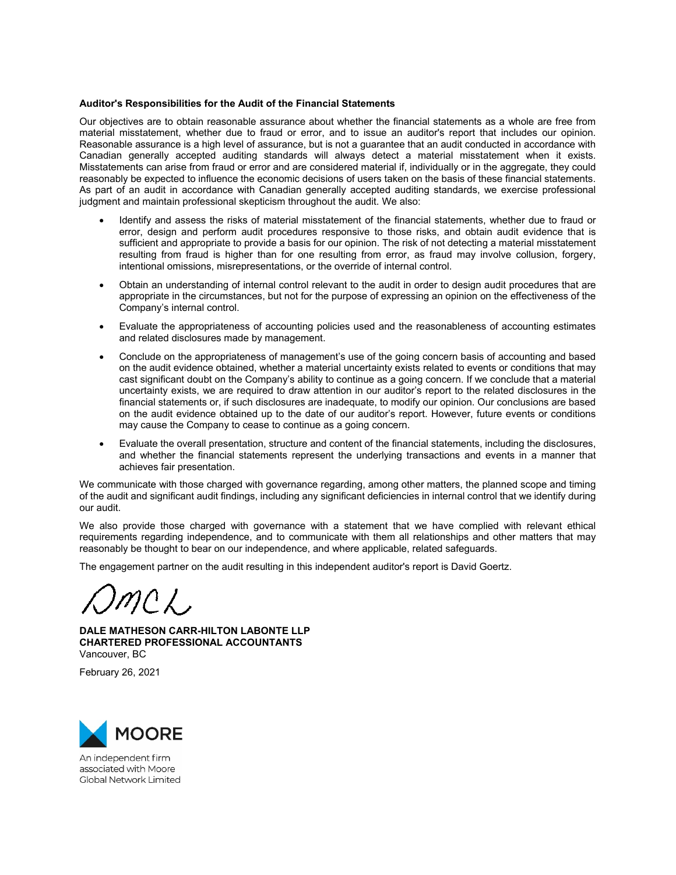#### **Auditor's Responsibilities for the Audit of the Financial Statements**

Our objectives are to obtain reasonable assurance about whether the financial statements as a whole are free from material misstatement, whether due to fraud or error, and to issue an auditor's report that includes our opinion. Reasonable assurance is a high level of assurance, but is not a guarantee that an audit conducted in accordance with Canadian generally accepted auditing standards will always detect a material misstatement when it exists. Misstatements can arise from fraud or error and are considered material if, individually or in the aggregate, they could reasonably be expected to influence the economic decisions of users taken on the basis of these financial statements. As part of an audit in accordance with Canadian generally accepted auditing standards, we exercise professional judgment and maintain professional skepticism throughout the audit. We also:

- Identify and assess the risks of material misstatement of the financial statements, whether due to fraud or error, design and perform audit procedures responsive to those risks, and obtain audit evidence that is sufficient and appropriate to provide a basis for our opinion. The risk of not detecting a material misstatement resulting from fraud is higher than for one resulting from error, as fraud may involve collusion, forgery, intentional omissions, misrepresentations, or the override of internal control.
- Obtain an understanding of internal control relevant to the audit in order to design audit procedures that are appropriate in the circumstances, but not for the purpose of expressing an opinion on the effectiveness of the Company's internal control.
- Evaluate the appropriateness of accounting policies used and the reasonableness of accounting estimates and related disclosures made by management.
- Conclude on the appropriateness of management's use of the going concern basis of accounting and based on the audit evidence obtained, whether a material uncertainty exists related to events or conditions that may cast significant doubt on the Company's ability to continue as a going concern. If we conclude that a material uncertainty exists, we are required to draw attention in our auditor's report to the related disclosures in the financial statements or, if such disclosures are inadequate, to modify our opinion. Our conclusions are based on the audit evidence obtained up to the date of our auditor's report. However, future events or conditions may cause the Company to cease to continue as a going concern.
- Evaluate the overall presentation, structure and content of the financial statements, including the disclosures, and whether the financial statements represent the underlying transactions and events in a manner that achieves fair presentation.

We communicate with those charged with governance regarding, among other matters, the planned scope and timing of the audit and significant audit findings, including any significant deficiencies in internal control that we identify during our audit.

We also provide those charged with governance with a statement that we have complied with relevant ethical requirements regarding independence, and to communicate with them all relationships and other matters that may reasonably be thought to bear on our independence, and where applicable, related safeguards.

The engagement partner on the audit resulting in this independent auditor's report is David Goertz.

 $MOL$  ,

**DALE MATHESON CARR-HILTON LABONTE LLP CHARTERED PROFESSIONAL ACCOUNTANTS** Vancouver, BC

February 26, 2021



An independent firm associated with Moore Global Network Limited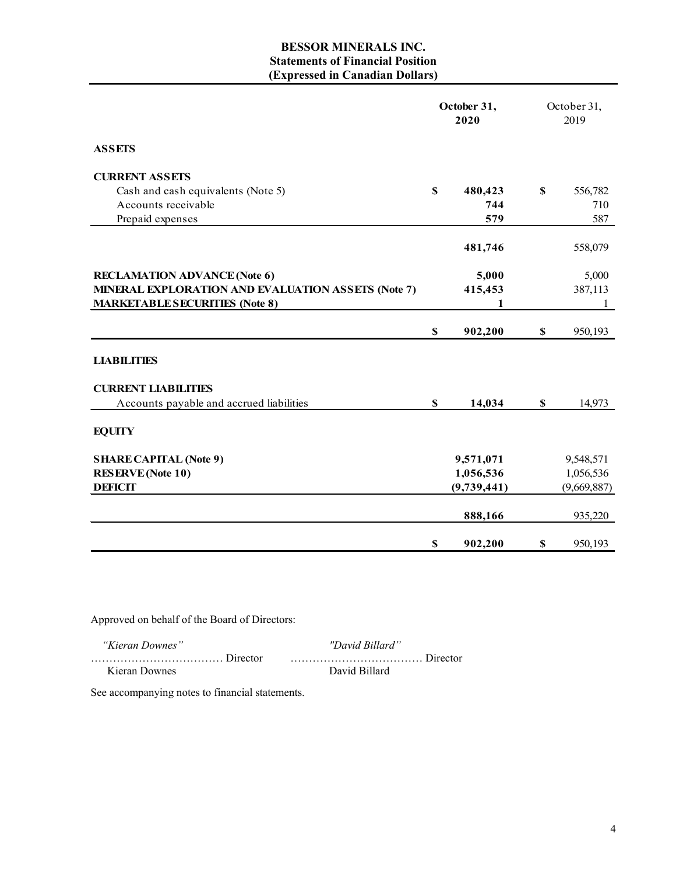### **BESSOR MINERALS INC. Statements of Financial Position (Expressed in Canadian Dollars)**

|                                                           | October 31,<br>2020       |             |              | October 31,<br>2019 |
|-----------------------------------------------------------|---------------------------|-------------|--------------|---------------------|
| <b>ASSETS</b>                                             |                           |             |              |                     |
| <b>CURRENT ASSETS</b>                                     |                           |             |              |                     |
| Cash and cash equivalents (Note 5)                        | $\boldsymbol{\mathsf{S}}$ | 480,423     | \$           | 556,782             |
| Accounts receivable                                       |                           | 744         |              | 710                 |
| Prepaid expenses                                          |                           | 579         |              | 587                 |
|                                                           |                           | 481,746     |              | 558,079             |
| <b>RECLAMATION ADVANCE (Note 6)</b>                       |                           | 5,000       |              | 5,000               |
| <b>MINERAL EXPLORATION AND EVALUATION ASSETS (Note 7)</b> |                           | 415,453     |              | 387,113             |
| <b>MARKETABLE SECURITIES (Note 8)</b>                     |                           | 1           |              | 1                   |
|                                                           |                           |             |              |                     |
|                                                           | $\mathbf S$               | 902,200     | $\mathbf{s}$ | 950,193             |
| <b>LIABILITIES</b>                                        |                           |             |              |                     |
| <b>CURRENT LIABILITIES</b>                                |                           |             |              |                     |
| Accounts payable and accrued liabilities                  | $\boldsymbol{\mathsf{S}}$ | 14,034      | \$           | 14,973              |
| <b>EQUITY</b>                                             |                           |             |              |                     |
| <b>SHARE CAPITAL (Note 9)</b>                             |                           | 9,571,071   |              | 9,548,571           |
| <b>RESERVE</b> (Note 10)                                  |                           | 1,056,536   |              | 1,056,536           |
| <b>DEFICIT</b>                                            |                           | (9,739,441) |              | (9,669,887)         |
|                                                           |                           | 888,166     |              | 935,220             |
|                                                           | \$                        | 902,200     | \$           | 950,193             |

Approved on behalf of the Board of Directors:

| "Kieran Downes" | "David Billard" |
|-----------------|-----------------|
|                 |                 |
| Kieran Downes   | David Rillard   |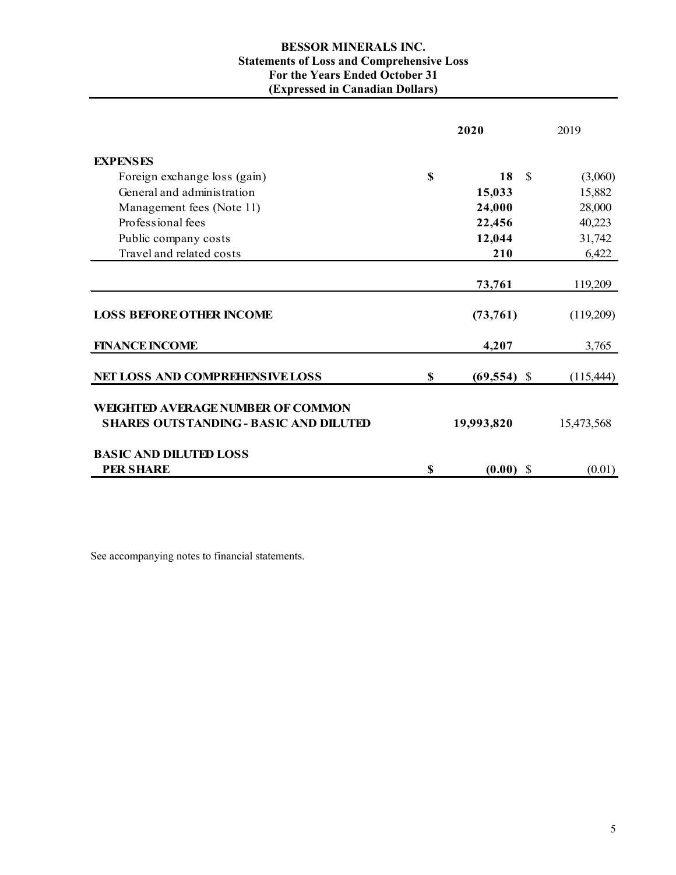#### **BESSOR MINERALS INC. Statements of Loss and Comprehensive Loss For the Years Ended October 31 (Expressed in Canadian Dollars)**

|                                                                                           |             | 2020                | 2019       |  |  |
|-------------------------------------------------------------------------------------------|-------------|---------------------|------------|--|--|
| <b>EXPENSES</b>                                                                           |             |                     |            |  |  |
| Foreign exchange loss (gain)                                                              | $\mathbf S$ | 18<br><sup>\$</sup> | (3,060)    |  |  |
| General and administration                                                                |             | 15,033              | 15,882     |  |  |
| Management fees (Note 11)                                                                 |             | 24,000              | 28,000     |  |  |
| Professional fees                                                                         |             | 22,456              | 40,223     |  |  |
| Public company costs                                                                      |             | 12,044              | 31,742     |  |  |
| Travel and related costs                                                                  |             | 210                 | 6,422      |  |  |
|                                                                                           |             | 73,761              | 119,209    |  |  |
| <b>LOSS BEFORE OTHER INCOME</b>                                                           |             | (73,761)            | (119,209)  |  |  |
| <b>FINANCE INCOME</b>                                                                     |             | 4,207               | 3,765      |  |  |
| <b>NET LOSS AND COMPREHENSIVE LOSS</b>                                                    | \$          | $(69, 554)$ \$      | (115, 444) |  |  |
| <b>WEIGHTED AVERAGE NUMBER OF COMMON</b><br><b>SHARES OUTSTANDING - BASIC AND DILUTED</b> |             | 19,993,820          | 15,473,568 |  |  |
| <b>BASIC AND DILUTED LOSS</b><br><b>PER SHARE</b>                                         | \$          | $(0.00)$ \$         | (0.01)     |  |  |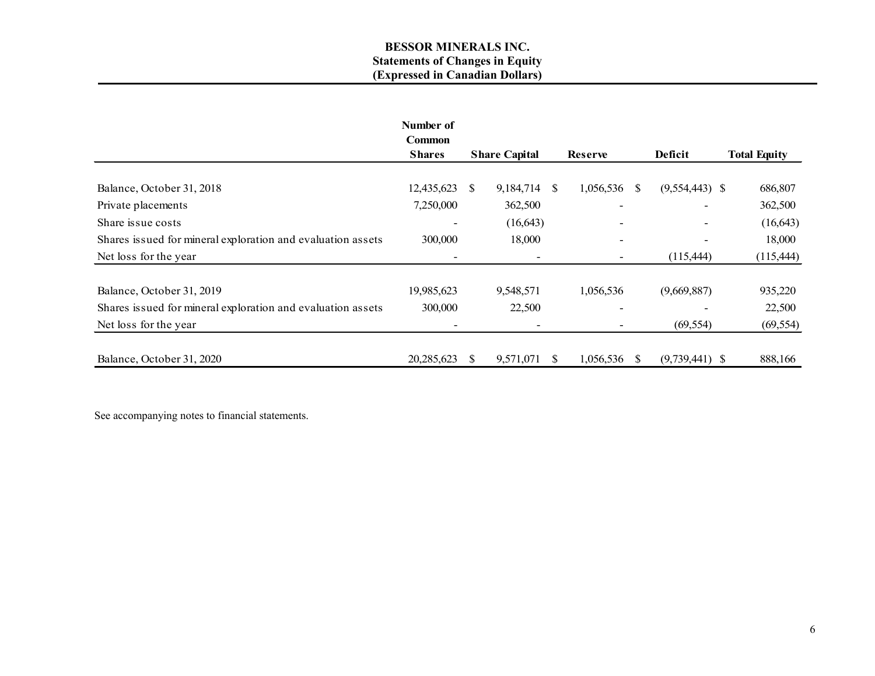### **BESSOR MINERALS INC. Statements of Changes in Equity (Expressed in Canadian Dollars)**

|                                                             | Number of                      |     |                                 |              |                           |                          |                     |            |
|-------------------------------------------------------------|--------------------------------|-----|---------------------------------|--------------|---------------------------|--------------------------|---------------------|------------|
|                                                             | <b>Common</b><br><b>Shares</b> |     | <b>Share Capital</b><br>Reserve |              |                           | Deficit                  | <b>Total Equity</b> |            |
|                                                             |                                |     |                                 |              |                           |                          |                     |            |
| Balance, October 31, 2018                                   | 12,435,623                     | \$. | 9,184,714                       | <sup>S</sup> | 1,056,536<br><b>S</b>     | $(9,554,443)$ \$         |                     | 686,807    |
| Private placements                                          | 7,250,000                      |     | 362,500                         |              |                           |                          |                     | 362,500    |
| Share issue costs                                           |                                |     | (16, 643)                       |              |                           |                          |                     | (16, 643)  |
| Shares issued for mineral exploration and evaluation assets | 300,000                        |     | 18,000                          |              |                           | $\overline{\phantom{a}}$ |                     | 18,000     |
| Net loss for the year                                       |                                |     |                                 |              |                           | (115, 444)               |                     | (115, 444) |
| Balance, October 31, 2019                                   | 19,985,623                     |     | 9,548,571                       |              | 1,056,536                 | (9,669,887)              |                     | 935,220    |
| Shares issued for mineral exploration and evaluation assets | 300,000                        |     | 22,500                          |              |                           |                          |                     | 22,500     |
| Net loss for the year                                       |                                |     |                                 |              |                           | (69, 554)                |                     | (69, 554)  |
| Balance, October 31, 2020                                   | 20,285,623                     | S.  | 9,571,071                       | S            | 1,056,536<br><sup>8</sup> | $(9,739,441)$ \$         |                     | 888,166    |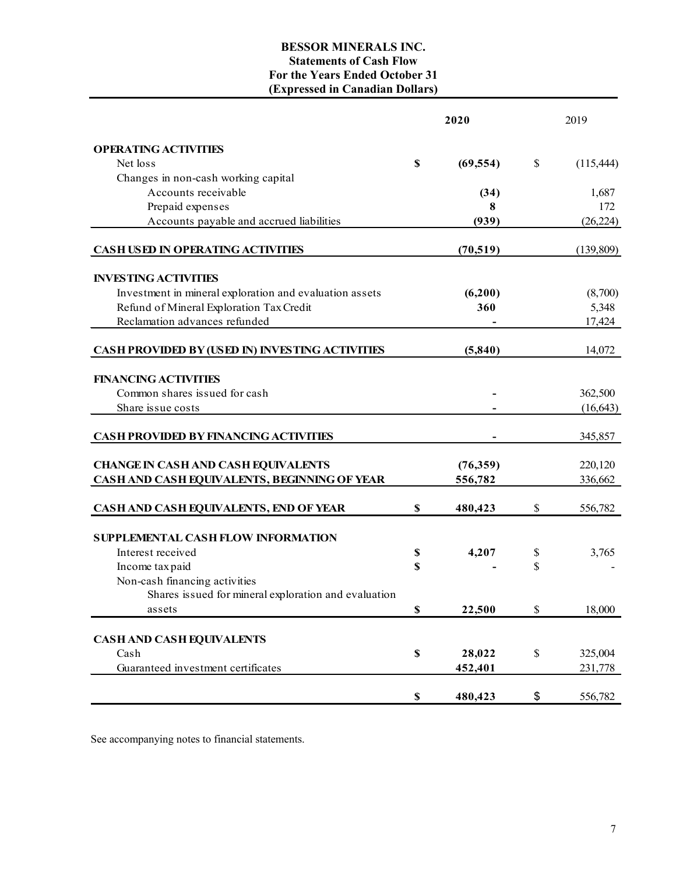### **BESSOR MINERALS INC. Statements of Cash Flow For the Years Ended October 31 (Expressed in Canadian Dollars)**

|                                                                                       | 2020                      |           |              | 2019                 |  |
|---------------------------------------------------------------------------------------|---------------------------|-----------|--------------|----------------------|--|
| <b>OPERATING ACTIVITIES</b>                                                           |                           |           |              |                      |  |
| Net loss                                                                              | \$                        | (69, 554) | \$           | (115, 444)           |  |
| Changes in non-cash working capital                                                   |                           |           |              |                      |  |
| Accounts receivable                                                                   |                           | (34)      |              | 1,687                |  |
| Prepaid expenses                                                                      |                           | 8         |              | 172                  |  |
| Accounts payable and accrued liabilities                                              |                           | (939)     |              | (26, 224)            |  |
| <b>CASH USED IN OPERATING ACTIVITIES</b>                                              |                           | (70, 519) |              | (139, 809)           |  |
| <b>INVESTING ACTIVITIES</b>                                                           |                           |           |              |                      |  |
| Investment in mineral exploration and evaluation assets                               |                           | (6,200)   |              | (8,700)              |  |
| Refund of Mineral Exploration Tax Credit                                              |                           | 360       |              | 5,348                |  |
| Reclamation advances refunded                                                         |                           |           |              | 17,424               |  |
| <b>CASH PROVIDED BY (USED IN) INVESTING ACTIVITIES</b>                                |                           | (5, 840)  |              | 14,072               |  |
|                                                                                       |                           |           |              |                      |  |
| <b>FINANCING ACTIVITIES</b><br>Common shares issued for cash                          |                           |           |              |                      |  |
| Share issue costs                                                                     |                           |           |              | 362,500<br>(16, 643) |  |
|                                                                                       |                           |           |              |                      |  |
| <b>CASH PROVIDED BY FINANCING ACTIVITIES</b>                                          |                           |           |              | 345,857              |  |
|                                                                                       |                           |           |              |                      |  |
| <b>CHANGE IN CASH AND CASH EQUIVALENTS</b>                                            |                           | (76, 359) |              | 220,120              |  |
| CASH AND CASH EQUIVALENTS, BEGINNING OF YEAR                                          |                           | 556,782   |              | 336,662              |  |
| CASH AND CASH EQUIVALENTS, END OF YEAR                                                | \$                        | 480,423   | \$           | 556,782              |  |
|                                                                                       |                           |           |              |                      |  |
| <b>SUPPLEMENTAL CASH FLOW INFORMATION</b>                                             |                           |           |              |                      |  |
| Interest received                                                                     | \$                        | 4,207     | \$           | 3,765                |  |
| Income tax paid                                                                       | \$                        |           | \$           |                      |  |
| Non-cash financing activities<br>Shares issued for mineral exploration and evaluation |                           |           |              |                      |  |
|                                                                                       |                           |           |              |                      |  |
| assets                                                                                | $\mathbb S$               | 22,500    | \$           | 18,000               |  |
| <b>CASH AND CASH EQUIVALENTS</b>                                                      |                           |           |              |                      |  |
| Cash                                                                                  | $\boldsymbol{\mathsf{S}}$ | 28,022    | $\mathbb{S}$ | 325,004              |  |
| Guaranteed investment certificates                                                    |                           | 452,401   |              | 231,778              |  |
|                                                                                       | \$                        | 480,423   | \$           | 556,782              |  |
|                                                                                       |                           |           |              |                      |  |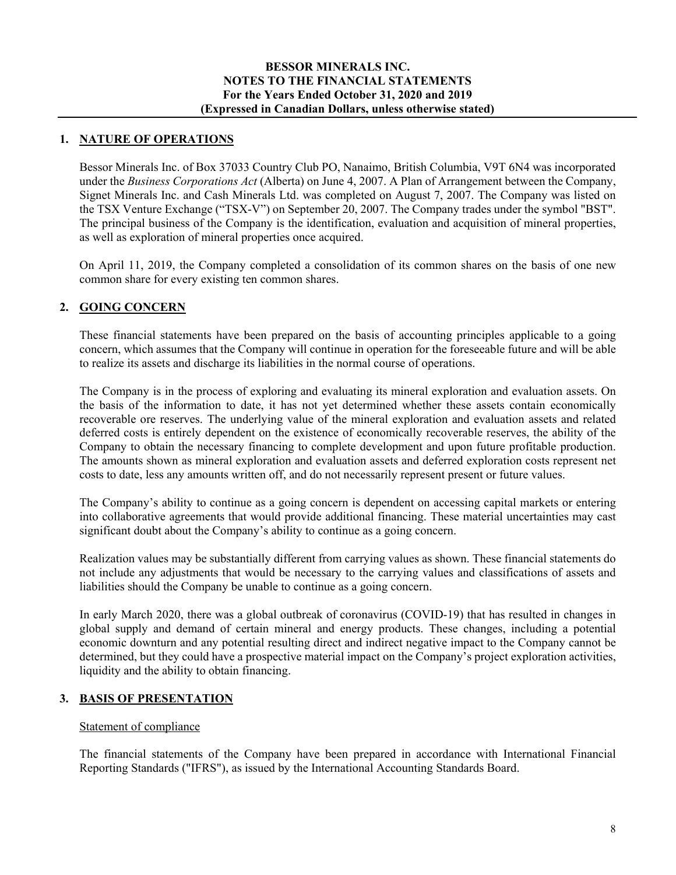### **1. NATURE OF OPERATIONS**

Bessor Minerals Inc. of Box 37033 Country Club PO, Nanaimo, British Columbia, V9T 6N4 was incorporated under the *Business Corporations Act* (Alberta) on June 4, 2007. A Plan of Arrangement between the Company, Signet Minerals Inc. and Cash Minerals Ltd. was completed on August 7, 2007. The Company was listed on the TSX Venture Exchange ("TSX-V") on September 20, 2007. The Company trades under the symbol "BST". The principal business of the Company is the identification, evaluation and acquisition of mineral properties, as well as exploration of mineral properties once acquired.

On April 11, 2019, the Company completed a consolidation of its common shares on the basis of one new common share for every existing ten common shares.

#### **2. GOING CONCERN**

These financial statements have been prepared on the basis of accounting principles applicable to a going concern, which assumes that the Company will continue in operation for the foreseeable future and will be able to realize its assets and discharge its liabilities in the normal course of operations.

The Company is in the process of exploring and evaluating its mineral exploration and evaluation assets. On the basis of the information to date, it has not yet determined whether these assets contain economically recoverable ore reserves. The underlying value of the mineral exploration and evaluation assets and related deferred costs is entirely dependent on the existence of economically recoverable reserves, the ability of the Company to obtain the necessary financing to complete development and upon future profitable production. The amounts shown as mineral exploration and evaluation assets and deferred exploration costs represent net costs to date, less any amounts written off, and do not necessarily represent present or future values.

The Company's ability to continue as a going concern is dependent on accessing capital markets or entering into collaborative agreements that would provide additional financing. These material uncertainties may cast significant doubt about the Company's ability to continue as a going concern.

Realization values may be substantially different from carrying values as shown. These financial statements do not include any adjustments that would be necessary to the carrying values and classifications of assets and liabilities should the Company be unable to continue as a going concern.

In early March 2020, there was a global outbreak of coronavirus (COVID-19) that has resulted in changes in global supply and demand of certain mineral and energy products. These changes, including a potential economic downturn and any potential resulting direct and indirect negative impact to the Company cannot be determined, but they could have a prospective material impact on the Company's project exploration activities, liquidity and the ability to obtain financing.

#### **3. BASIS OF PRESENTATION**

#### Statement of compliance

The financial statements of the Company have been prepared in accordance with International Financial Reporting Standards ("IFRS"), as issued by the International Accounting Standards Board.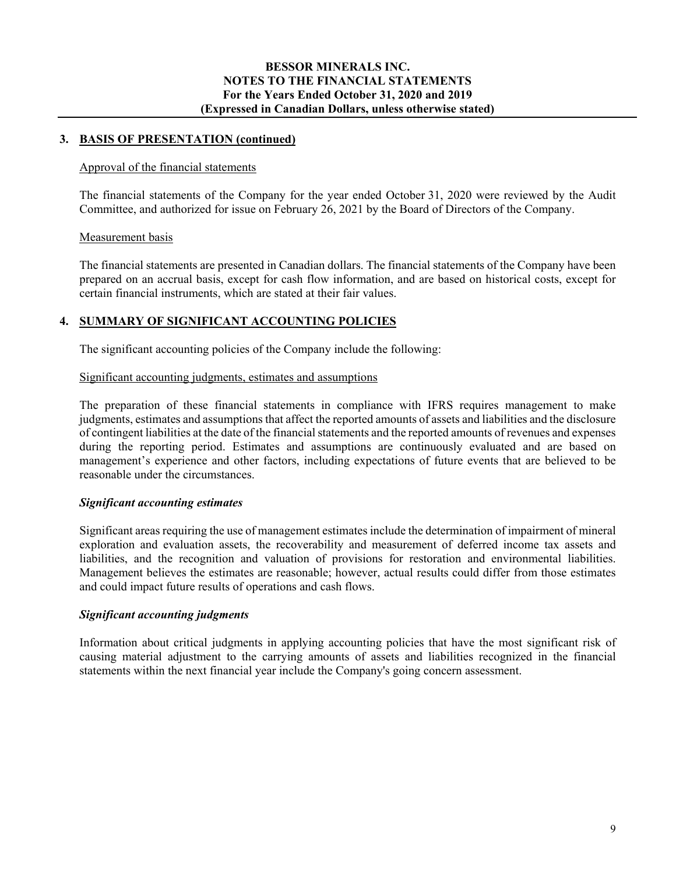### **3. BASIS OF PRESENTATION (continued)**

#### Approval of the financial statements

The financial statements of the Company for the year ended October 31, 2020 were reviewed by the Audit Committee, and authorized for issue on February 26, 2021 by the Board of Directors of the Company.

#### Measurement basis

The financial statements are presented in Canadian dollars. The financial statements of the Company have been prepared on an accrual basis, except for cash flow information, and are based on historical costs, except for certain financial instruments, which are stated at their fair values.

#### **4. SUMMARY OF SIGNIFICANT ACCOUNTING POLICIES**

The significant accounting policies of the Company include the following:

#### Significant accounting judgments, estimates and assumptions

The preparation of these financial statements in compliance with IFRS requires management to make judgments, estimates and assumptions that affect the reported amounts of assets and liabilities and the disclosure of contingent liabilities at the date of the financial statements and the reported amounts of revenues and expenses during the reporting period. Estimates and assumptions are continuously evaluated and are based on management's experience and other factors, including expectations of future events that are believed to be reasonable under the circumstances.

#### *Significant accounting estimates*

Significant areas requiring the use of management estimates include the determination of impairment of mineral exploration and evaluation assets, the recoverability and measurement of deferred income tax assets and liabilities, and the recognition and valuation of provisions for restoration and environmental liabilities. Management believes the estimates are reasonable; however, actual results could differ from those estimates and could impact future results of operations and cash flows.

#### *Significant accounting judgments*

Information about critical judgments in applying accounting policies that have the most significant risk of causing material adjustment to the carrying amounts of assets and liabilities recognized in the financial statements within the next financial year include the Company's going concern assessment.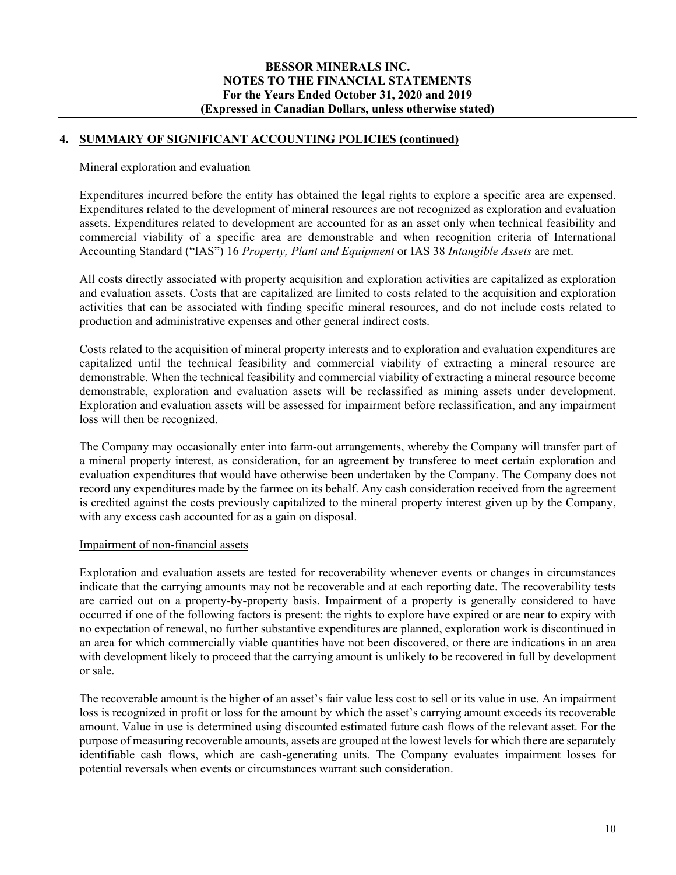#### Mineral exploration and evaluation

Expenditures incurred before the entity has obtained the legal rights to explore a specific area are expensed. Expenditures related to the development of mineral resources are not recognized as exploration and evaluation assets. Expenditures related to development are accounted for as an asset only when technical feasibility and commercial viability of a specific area are demonstrable and when recognition criteria of International Accounting Standard ("IAS") 16 *Property, Plant and Equipment* or IAS 38 *Intangible Assets* are met.

All costs directly associated with property acquisition and exploration activities are capitalized as exploration and evaluation assets. Costs that are capitalized are limited to costs related to the acquisition and exploration activities that can be associated with finding specific mineral resources, and do not include costs related to production and administrative expenses and other general indirect costs.

Costs related to the acquisition of mineral property interests and to exploration and evaluation expenditures are capitalized until the technical feasibility and commercial viability of extracting a mineral resource are demonstrable. When the technical feasibility and commercial viability of extracting a mineral resource become demonstrable, exploration and evaluation assets will be reclassified as mining assets under development. Exploration and evaluation assets will be assessed for impairment before reclassification, and any impairment loss will then be recognized.

The Company may occasionally enter into farm-out arrangements, whereby the Company will transfer part of a mineral property interest, as consideration, for an agreement by transferee to meet certain exploration and evaluation expenditures that would have otherwise been undertaken by the Company. The Company does not record any expenditures made by the farmee on its behalf. Any cash consideration received from the agreement is credited against the costs previously capitalized to the mineral property interest given up by the Company, with any excess cash accounted for as a gain on disposal.

#### Impairment of non-financial assets

Exploration and evaluation assets are tested for recoverability whenever events or changes in circumstances indicate that the carrying amounts may not be recoverable and at each reporting date. The recoverability tests are carried out on a property-by-property basis. Impairment of a property is generally considered to have occurred if one of the following factors is present: the rights to explore have expired or are near to expiry with no expectation of renewal, no further substantive expenditures are planned, exploration work is discontinued in an area for which commercially viable quantities have not been discovered, or there are indications in an area with development likely to proceed that the carrying amount is unlikely to be recovered in full by development or sale.

The recoverable amount is the higher of an asset's fair value less cost to sell or its value in use. An impairment loss is recognized in profit or loss for the amount by which the asset's carrying amount exceeds its recoverable amount. Value in use is determined using discounted estimated future cash flows of the relevant asset. For the purpose of measuring recoverable amounts, assets are grouped at the lowest levels for which there are separately identifiable cash flows, which are cash-generating units. The Company evaluates impairment losses for potential reversals when events or circumstances warrant such consideration.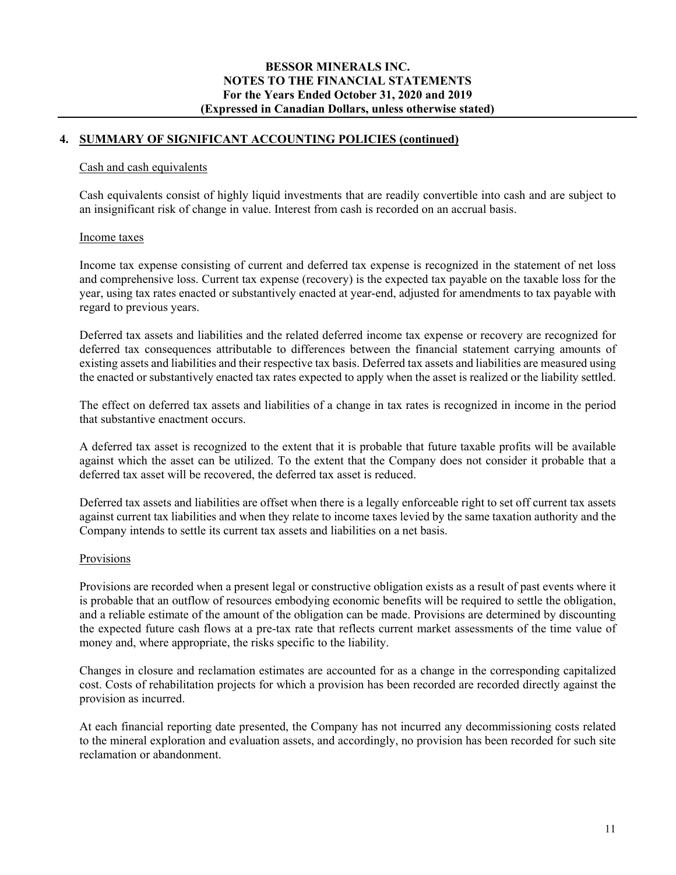#### Cash and cash equivalents

Cash equivalents consist of highly liquid investments that are readily convertible into cash and are subject to an insignificant risk of change in value. Interest from cash is recorded on an accrual basis.

#### Income taxes

Income tax expense consisting of current and deferred tax expense is recognized in the statement of net loss and comprehensive loss. Current tax expense (recovery) is the expected tax payable on the taxable loss for the year, using tax rates enacted or substantively enacted at year-end, adjusted for amendments to tax payable with regard to previous years.

Deferred tax assets and liabilities and the related deferred income tax expense or recovery are recognized for deferred tax consequences attributable to differences between the financial statement carrying amounts of existing assets and liabilities and their respective tax basis. Deferred tax assets and liabilities are measured using the enacted or substantively enacted tax rates expected to apply when the asset is realized or the liability settled.

The effect on deferred tax assets and liabilities of a change in tax rates is recognized in income in the period that substantive enactment occurs.

A deferred tax asset is recognized to the extent that it is probable that future taxable profits will be available against which the asset can be utilized. To the extent that the Company does not consider it probable that a deferred tax asset will be recovered, the deferred tax asset is reduced.

Deferred tax assets and liabilities are offset when there is a legally enforceable right to set off current tax assets against current tax liabilities and when they relate to income taxes levied by the same taxation authority and the Company intends to settle its current tax assets and liabilities on a net basis.

#### Provisions

Provisions are recorded when a present legal or constructive obligation exists as a result of past events where it is probable that an outflow of resources embodying economic benefits will be required to settle the obligation, and a reliable estimate of the amount of the obligation can be made. Provisions are determined by discounting the expected future cash flows at a pre-tax rate that reflects current market assessments of the time value of money and, where appropriate, the risks specific to the liability.

Changes in closure and reclamation estimates are accounted for as a change in the corresponding capitalized cost. Costs of rehabilitation projects for which a provision has been recorded are recorded directly against the provision as incurred.

At each financial reporting date presented, the Company has not incurred any decommissioning costs related to the mineral exploration and evaluation assets, and accordingly, no provision has been recorded for such site reclamation or abandonment.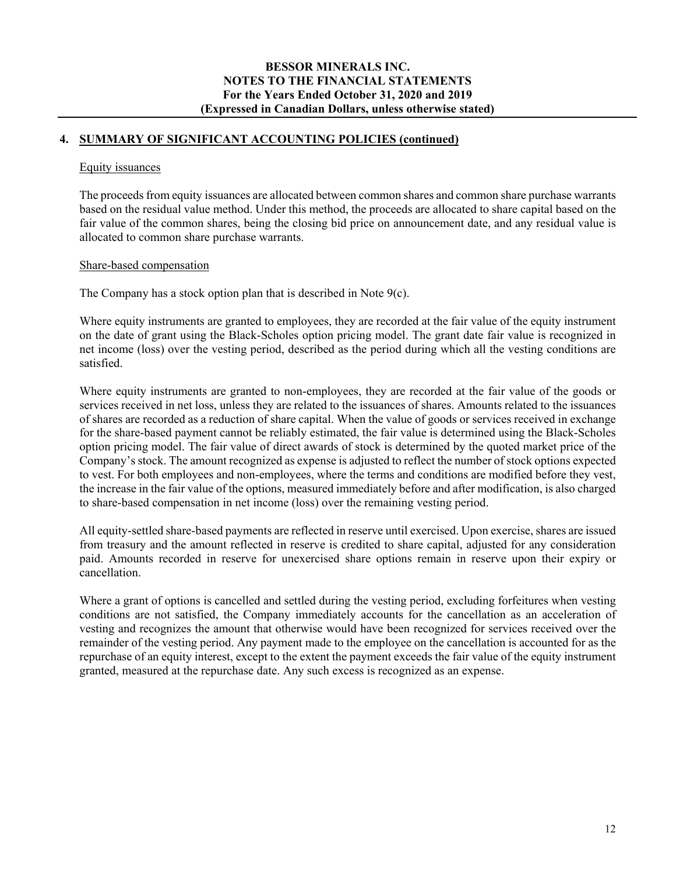#### Equity issuances

The proceeds from equity issuances are allocated between common shares and common share purchase warrants based on the residual value method. Under this method, the proceeds are allocated to share capital based on the fair value of the common shares, being the closing bid price on announcement date, and any residual value is allocated to common share purchase warrants.

#### Share-based compensation

The Company has a stock option plan that is described in Note 9(c).

Where equity instruments are granted to employees, they are recorded at the fair value of the equity instrument on the date of grant using the Black-Scholes option pricing model. The grant date fair value is recognized in net income (loss) over the vesting period, described as the period during which all the vesting conditions are satisfied.

Where equity instruments are granted to non-employees, they are recorded at the fair value of the goods or services received in net loss, unless they are related to the issuances of shares. Amounts related to the issuances of shares are recorded as a reduction of share capital. When the value of goods or services received in exchange for the share-based payment cannot be reliably estimated, the fair value is determined using the Black-Scholes option pricing model. The fair value of direct awards of stock is determined by the quoted market price of the Company's stock. The amount recognized as expense is adjusted to reflect the number of stock options expected to vest. For both employees and non-employees, where the terms and conditions are modified before they vest, the increase in the fair value of the options, measured immediately before and after modification, is also charged to share-based compensation in net income (loss) over the remaining vesting period.

All equity-settled share-based payments are reflected in reserve until exercised. Upon exercise, shares are issued from treasury and the amount reflected in reserve is credited to share capital, adjusted for any consideration paid. Amounts recorded in reserve for unexercised share options remain in reserve upon their expiry or cancellation.

Where a grant of options is cancelled and settled during the vesting period, excluding forfeitures when vesting conditions are not satisfied, the Company immediately accounts for the cancellation as an acceleration of vesting and recognizes the amount that otherwise would have been recognized for services received over the remainder of the vesting period. Any payment made to the employee on the cancellation is accounted for as the repurchase of an equity interest, except to the extent the payment exceeds the fair value of the equity instrument granted, measured at the repurchase date. Any such excess is recognized as an expense.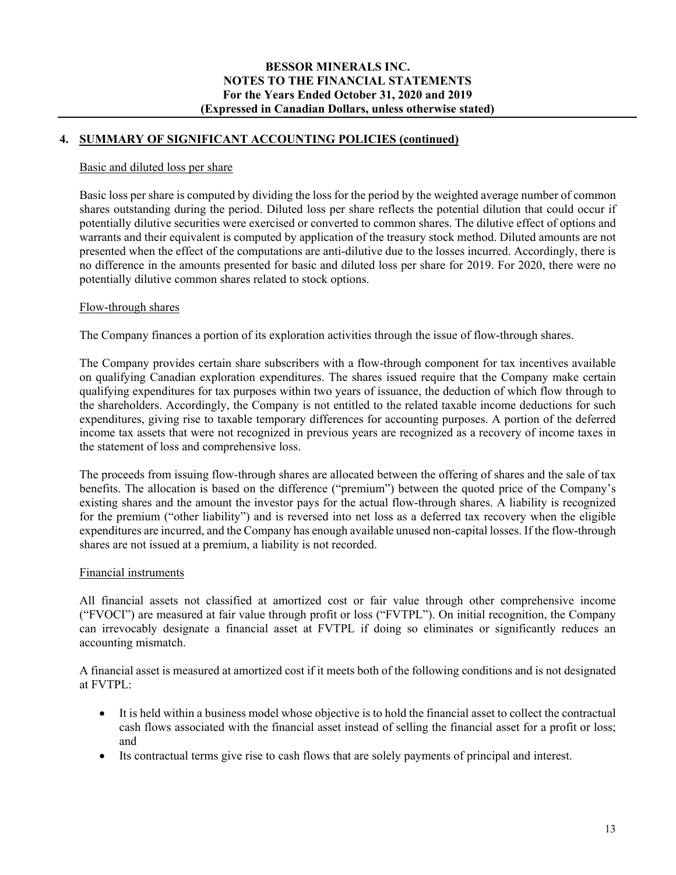#### Basic and diluted loss per share

Basic loss per share is computed by dividing the loss for the period by the weighted average number of common shares outstanding during the period. Diluted loss per share reflects the potential dilution that could occur if potentially dilutive securities were exercised or converted to common shares. The dilutive effect of options and warrants and their equivalent is computed by application of the treasury stock method. Diluted amounts are not presented when the effect of the computations are anti-dilutive due to the losses incurred. Accordingly, there is no difference in the amounts presented for basic and diluted loss per share for 2019. For 2020, there were no potentially dilutive common shares related to stock options.

#### Flow-through shares

The Company finances a portion of its exploration activities through the issue of flow-through shares.

The Company provides certain share subscribers with a flow-through component for tax incentives available on qualifying Canadian exploration expenditures. The shares issued require that the Company make certain qualifying expenditures for tax purposes within two years of issuance, the deduction of which flow through to the shareholders. Accordingly, the Company is not entitled to the related taxable income deductions for such expenditures, giving rise to taxable temporary differences for accounting purposes. A portion of the deferred income tax assets that were not recognized in previous years are recognized as a recovery of income taxes in the statement of loss and comprehensive loss.

The proceeds from issuing flow-through shares are allocated between the offering of shares and the sale of tax benefits. The allocation is based on the difference ("premium") between the quoted price of the Company's existing shares and the amount the investor pays for the actual flow-through shares. A liability is recognized for the premium ("other liability") and is reversed into net loss as a deferred tax recovery when the eligible expenditures are incurred, and the Company has enough available unused non-capital losses. If the flow-through shares are not issued at a premium, a liability is not recorded.

#### Financial instruments

All financial assets not classified at amortized cost or fair value through other comprehensive income ("FVOCI") are measured at fair value through profit or loss ("FVTPL"). On initial recognition, the Company can irrevocably designate a financial asset at FVTPL if doing so eliminates or significantly reduces an accounting mismatch.

A financial asset is measured at amortized cost if it meets both of the following conditions and is not designated at FVTPL:

- It is held within a business model whose objective is to hold the financial asset to collect the contractual cash flows associated with the financial asset instead of selling the financial asset for a profit or loss; and
- Its contractual terms give rise to cash flows that are solely payments of principal and interest.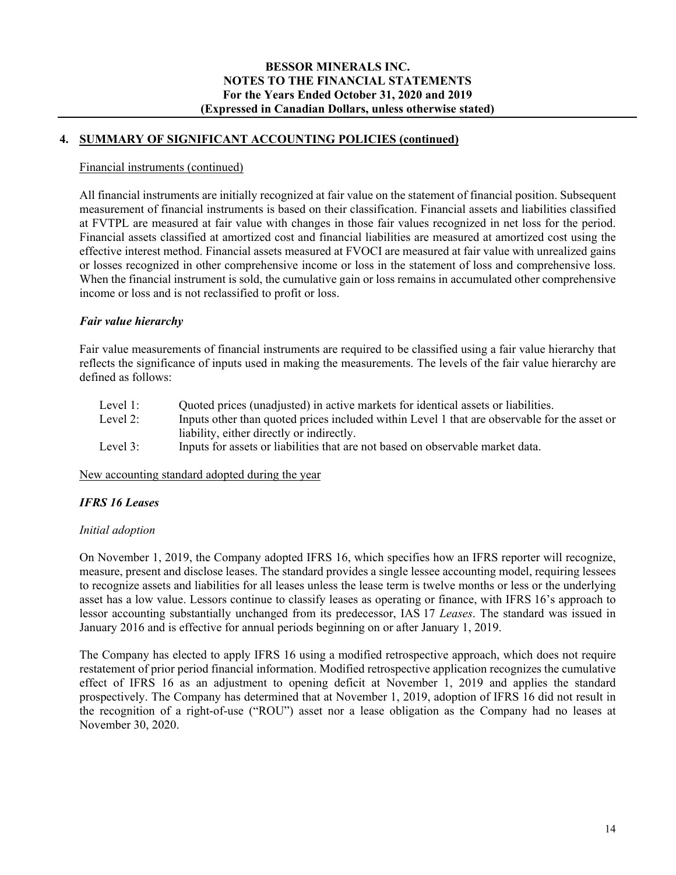#### Financial instruments (continued)

All financial instruments are initially recognized at fair value on the statement of financial position. Subsequent measurement of financial instruments is based on their classification. Financial assets and liabilities classified at FVTPL are measured at fair value with changes in those fair values recognized in net loss for the period. Financial assets classified at amortized cost and financial liabilities are measured at amortized cost using the effective interest method. Financial assets measured at FVOCI are measured at fair value with unrealized gains or losses recognized in other comprehensive income or loss in the statement of loss and comprehensive loss. When the financial instrument is sold, the cumulative gain or loss remains in accumulated other comprehensive income or loss and is not reclassified to profit or loss.

#### *Fair value hierarchy*

Fair value measurements of financial instruments are required to be classified using a fair value hierarchy that reflects the significance of inputs used in making the measurements. The levels of the fair value hierarchy are defined as follows:

Level 1: Ouoted prices (unadjusted) in active markets for identical assets or liabilities. Level 2: Inputs other than quoted prices included within Level 1 that are observable for the asset or liability, either directly or indirectly. Level 3: Inputs for assets or liabilities that are not based on observable market data.

New accounting standard adopted during the year

#### *IFRS 16 Leases*

#### *Initial adoption*

On November 1, 2019, the Company adopted IFRS 16, which specifies how an IFRS reporter will recognize, measure, present and disclose leases. The standard provides a single lessee accounting model, requiring lessees to recognize assets and liabilities for all leases unless the lease term is twelve months or less or the underlying asset has a low value. Lessors continue to classify leases as operating or finance, with IFRS 16's approach to lessor accounting substantially unchanged from its predecessor, IAS 17 *Leases*. The standard was issued in January 2016 and is effective for annual periods beginning on or after January 1, 2019.

The Company has elected to apply IFRS 16 using a modified retrospective approach, which does not require restatement of prior period financial information. Modified retrospective application recognizes the cumulative effect of IFRS 16 as an adjustment to opening deficit at November 1, 2019 and applies the standard prospectively. The Company has determined that at November 1, 2019, adoption of IFRS 16 did not result in the recognition of a right-of-use ("ROU") asset nor a lease obligation as the Company had no leases at November 30, 2020.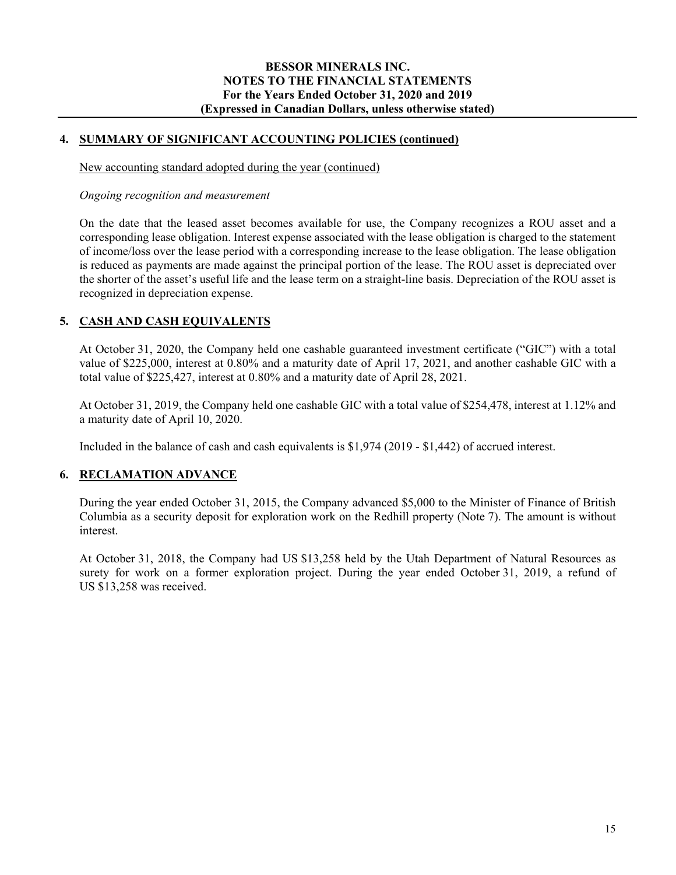New accounting standard adopted during the year (continued)

#### *Ongoing recognition and measurement*

On the date that the leased asset becomes available for use, the Company recognizes a ROU asset and a corresponding lease obligation. Interest expense associated with the lease obligation is charged to the statement of income/loss over the lease period with a corresponding increase to the lease obligation. The lease obligation is reduced as payments are made against the principal portion of the lease. The ROU asset is depreciated over the shorter of the asset's useful life and the lease term on a straight-line basis. Depreciation of the ROU asset is recognized in depreciation expense.

#### **5. CASH AND CASH EQUIVALENTS**

At October 31, 2020, the Company held one cashable guaranteed investment certificate ("GIC") with a total value of \$225,000, interest at 0.80% and a maturity date of April 17, 2021, and another cashable GIC with a total value of \$225,427, interest at 0.80% and a maturity date of April 28, 2021.

At October 31, 2019, the Company held one cashable GIC with a total value of \$254,478, interest at 1.12% and a maturity date of April 10, 2020.

Included in the balance of cash and cash equivalents is \$1,974 (2019 - \$1,442) of accrued interest.

#### **6. RECLAMATION ADVANCE**

During the year ended October 31, 2015, the Company advanced \$5,000 to the Minister of Finance of British Columbia as a security deposit for exploration work on the Redhill property (Note 7). The amount is without interest.

At October 31, 2018, the Company had US \$13,258 held by the Utah Department of Natural Resources as surety for work on a former exploration project. During the year ended October 31, 2019, a refund of US \$13,258 was received.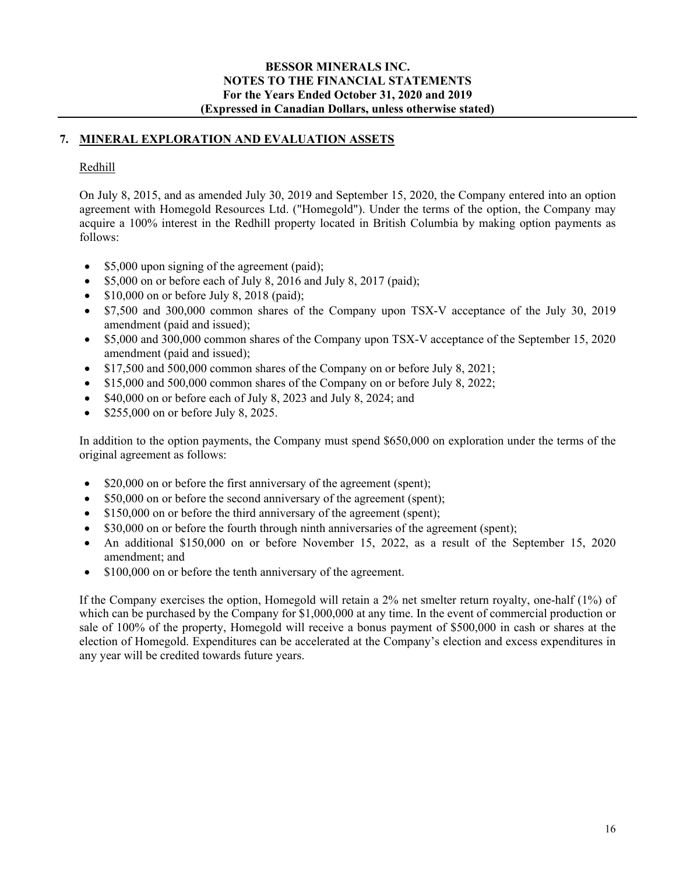#### **BESSOR MINERALS INC. NOTES TO THE FINANCIAL STATEMENTS For the Years Ended October 31, 2020 and 2019 (Expressed in Canadian Dollars, unless otherwise stated)**

### **7. MINERAL EXPLORATION AND EVALUATION ASSETS**

### Redhill

On July 8, 2015, and as amended July 30, 2019 and September 15, 2020, the Company entered into an option agreement with Homegold Resources Ltd. ("Homegold"). Under the terms of the option, the Company may acquire a 100% interest in the Redhill property located in British Columbia by making option payments as follows:

- \$5,000 upon signing of the agreement (paid);
- \$5,000 on or before each of July 8, 2016 and July 8, 2017 (paid);
- $$10,000$  on or before July 8, 2018 (paid);
- \$7,500 and 300,000 common shares of the Company upon TSX-V acceptance of the July 30, 2019 amendment (paid and issued);
- \$5,000 and 300,000 common shares of the Company upon TSX-V acceptance of the September 15, 2020 amendment (paid and issued);
- \$17,500 and 500,000 common shares of the Company on or before July 8, 2021;
- \$15,000 and 500,000 common shares of the Company on or before July 8, 2022;
- \$40,000 on or before each of July 8, 2023 and July 8, 2024; and
- \$255,000 on or before July 8, 2025.

In addition to the option payments, the Company must spend \$650,000 on exploration under the terms of the original agreement as follows:

- \$20,000 on or before the first anniversary of the agreement (spent);
- \$50,000 on or before the second anniversary of the agreement (spent);
- \$150,000 on or before the third anniversary of the agreement (spent);
- \$30,000 on or before the fourth through ninth anniversaries of the agreement (spent);
- An additional \$150,000 on or before November 15, 2022, as a result of the September 15, 2020 amendment; and
- \$100,000 on or before the tenth anniversary of the agreement.

If the Company exercises the option, Homegold will retain a 2% net smelter return royalty, one-half (1%) of which can be purchased by the Company for \$1,000,000 at any time. In the event of commercial production or sale of 100% of the property, Homegold will receive a bonus payment of \$500,000 in cash or shares at the election of Homegold. Expenditures can be accelerated at the Company's election and excess expenditures in any year will be credited towards future years.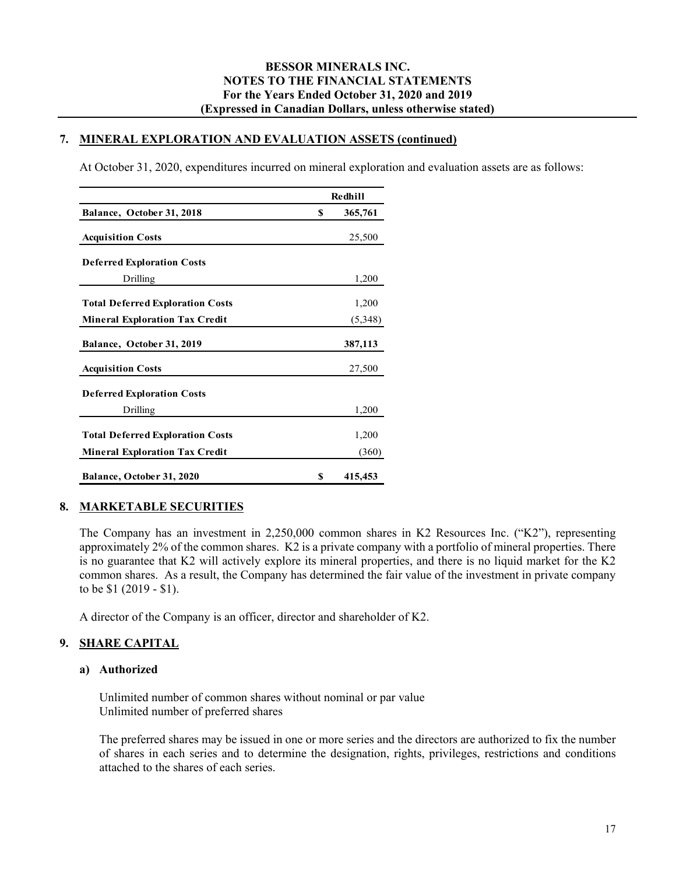### **7. MINERAL EXPLORATION AND EVALUATION ASSETS (continued)**

At October 31, 2020, expenditures incurred on mineral exploration and evaluation assets are as follows:

|                                         |   | Redhill |
|-----------------------------------------|---|---------|
| Balance, October 31, 2018               | S | 365,761 |
| <b>Acquisition Costs</b>                |   | 25,500  |
| <b>Deferred Exploration Costs</b>       |   |         |
| Drilling                                |   | 1,200   |
| <b>Total Deferred Exploration Costs</b> |   | 1,200   |
| <b>Mineral Exploration Tax Credit</b>   |   | (5,348) |
| Balance, October 31, 2019               |   | 387,113 |
| <b>Acquisition Costs</b>                |   | 27,500  |
| <b>Deferred Exploration Costs</b>       |   |         |
| Drilling                                |   | 1,200   |
| <b>Total Deferred Exploration Costs</b> |   | 1,200   |
| <b>Mineral Exploration Tax Credit</b>   |   | (360)   |
| Balance, October 31, 2020               | S | 415,453 |

#### **8. MARKETABLE SECURITIES**

The Company has an investment in 2,250,000 common shares in K2 Resources Inc. ("K2"), representing approximately 2% of the common shares. K2 is a private company with a portfolio of mineral properties. There is no guarantee that K2 will actively explore its mineral properties, and there is no liquid market for the K2 common shares. As a result, the Company has determined the fair value of the investment in private company to be \$1 (2019 - \$1).

A director of the Company is an officer, director and shareholder of K2.

#### **9. SHARE CAPITAL**

#### **a) Authorized**

Unlimited number of common shares without nominal or par value Unlimited number of preferred shares

The preferred shares may be issued in one or more series and the directors are authorized to fix the number of shares in each series and to determine the designation, rights, privileges, restrictions and conditions attached to the shares of each series.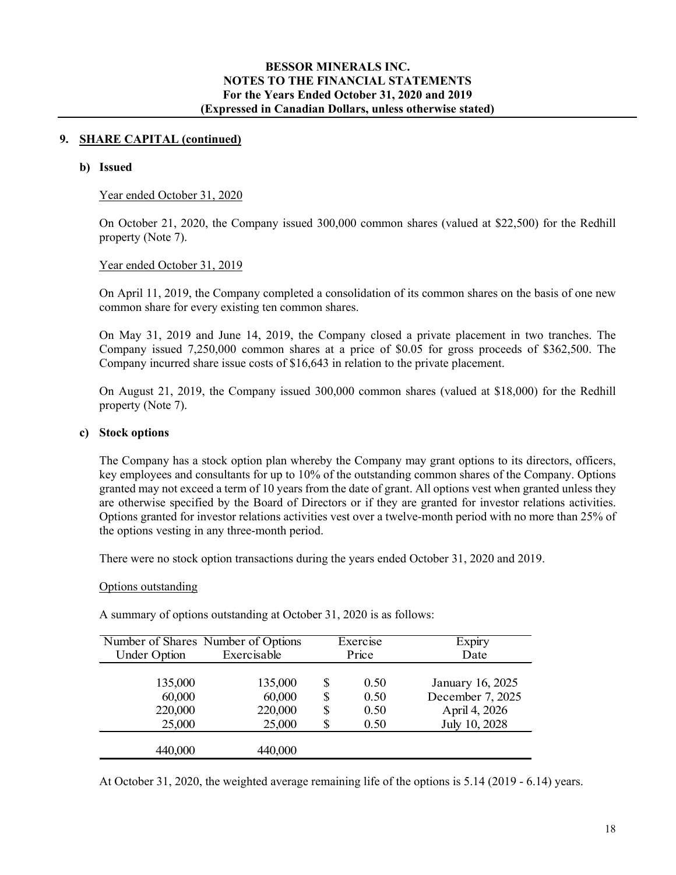#### **9. SHARE CAPITAL (continued)**

#### **b) Issued**

#### Year ended October 31, 2020

On October 21, 2020, the Company issued 300,000 common shares (valued at \$22,500) for the Redhill property (Note 7).

#### Year ended October 31, 2019

On April 11, 2019, the Company completed a consolidation of its common shares on the basis of one new common share for every existing ten common shares.

On May 31, 2019 and June 14, 2019, the Company closed a private placement in two tranches. The Company issued 7,250,000 common shares at a price of \$0.05 for gross proceeds of \$362,500. The Company incurred share issue costs of \$16,643 in relation to the private placement.

On August 21, 2019, the Company issued 300,000 common shares (valued at \$18,000) for the Redhill property (Note 7).

#### **c) Stock options**

The Company has a stock option plan whereby the Company may grant options to its directors, officers, key employees and consultants for up to 10% of the outstanding common shares of the Company. Options granted may not exceed a term of 10 years from the date of grant. All options vest when granted unless they are otherwise specified by the Board of Directors or if they are granted for investor relations activities. Options granted for investor relations activities vest over a twelve-month period with no more than 25% of the options vesting in any three-month period.

There were no stock option transactions during the years ended October 31, 2020 and 2019.

#### Options outstanding

A summary of options outstanding at October 31, 2020 is as follows:

| <b>Under Option</b> | Number of Shares Number of Options<br>Exercisable | Exercise<br>Price | Expiry<br>Date   |
|---------------------|---------------------------------------------------|-------------------|------------------|
| 135,000             | 135,000                                           | 0.50              | January 16, 2025 |
| 60,000              | 60,000                                            | 0.50              | December 7, 2025 |
| 220,000             | 220,000                                           | 0.50              | April 4, 2026    |
| 25,000              | 25,000                                            | 0.50              | July 10, 2028    |
| 440,000             | 440,000                                           |                   |                  |

At October 31, 2020, the weighted average remaining life of the options is 5.14 (2019 - 6.14) years.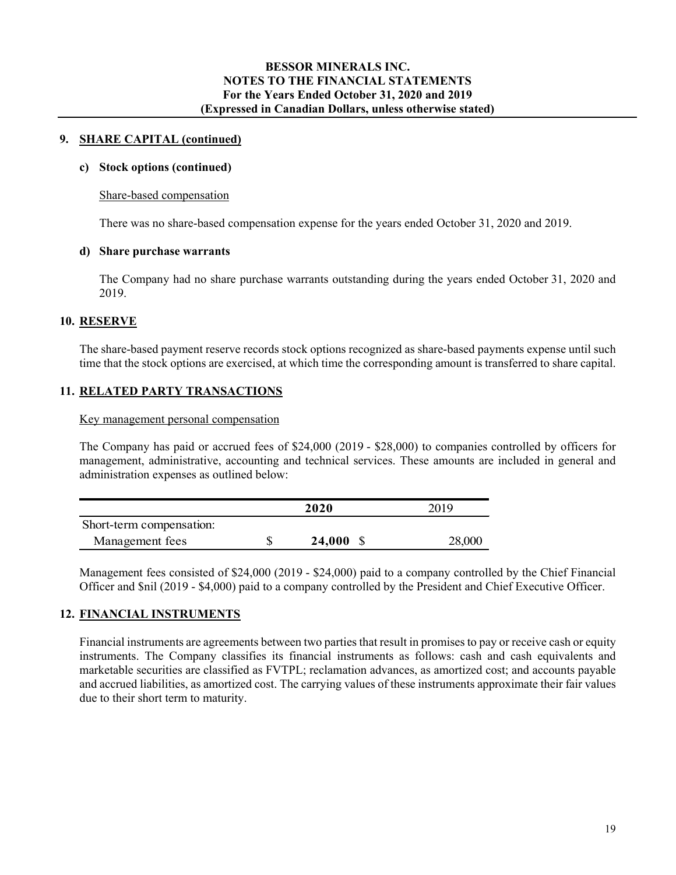#### **9. SHARE CAPITAL (continued)**

#### **c) Stock options (continued)**

#### Share-based compensation

There was no share-based compensation expense for the years ended October 31, 2020 and 2019.

#### **d) Share purchase warrants**

The Company had no share purchase warrants outstanding during the years ended October 31, 2020 and 2019.

#### **10. RESERVE**

The share-based payment reserve records stock options recognized as share-based payments expense until such time that the stock options are exercised, at which time the corresponding amount is transferred to share capital.

#### **11. RELATED PARTY TRANSACTIONS**

#### Key management personal compensation

The Company has paid or accrued fees of \$24,000 (2019 - \$28,000) to companies controlled by officers for management, administrative, accounting and technical services. These amounts are included in general and administration expenses as outlined below:

|                          | 2020   | 2019   |  |  |  |  |
|--------------------------|--------|--------|--|--|--|--|
| Short-term compensation: |        |        |  |  |  |  |
| Management fees          | 24,000 | 28,000 |  |  |  |  |

Management fees consisted of \$24,000 (2019 - \$24,000) paid to a company controlled by the Chief Financial Officer and \$nil (2019 - \$4,000) paid to a company controlled by the President and Chief Executive Officer.

#### **12. FINANCIAL INSTRUMENTS**

Financial instruments are agreements between two parties that result in promises to pay or receive cash or equity instruments. The Company classifies its financial instruments as follows: cash and cash equivalents and marketable securities are classified as FVTPL; reclamation advances, as amortized cost; and accounts payable and accrued liabilities, as amortized cost. The carrying values of these instruments approximate their fair values due to their short term to maturity.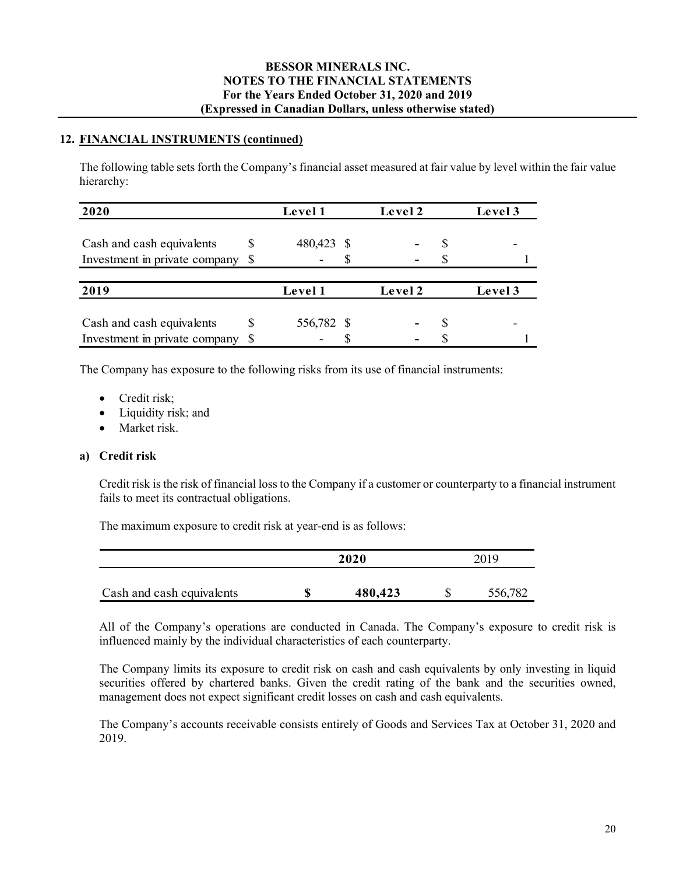#### **BESSOR MINERALS INC. NOTES TO THE FINANCIAL STATEMENTS For the Years Ended October 31, 2020 and 2019 (Expressed in Canadian Dollars, unless otherwise stated)**

### **12. FINANCIAL INSTRUMENTS (continued)**

The following table sets forth the Company's financial asset measured at fair value by level within the fair value hierarchy:

| 2020                          |              | Level 1    |     | Level 2 | Level 3 |
|-------------------------------|--------------|------------|-----|---------|---------|
|                               |              |            |     |         |         |
| Cash and cash equivalents     |              | 480,423    | - 8 |         |         |
| Investment in private company | -S           |            |     |         |         |
|                               |              |            |     |         |         |
| 2019                          |              | Level 1    |     | Level 2 | Level 3 |
|                               |              |            |     |         |         |
| Cash and cash equivalents     | S            | 556,782 \$ |     |         |         |
| Investment in private company | <sup>S</sup> |            |     |         |         |

The Company has exposure to the following risks from its use of financial instruments:

- Credit risk;
- Liquidity risk; and
- Market risk.

#### **a) Credit risk**

Credit risk is the risk of financial loss to the Company if a customer or counterparty to a financial instrument fails to meet its contractual obligations.

The maximum exposure to credit risk at year-end is as follows:

|                           | 2020    | 2019    |
|---------------------------|---------|---------|
| Cash and cash equivalents | 480,423 | 556,782 |

All of the Company's operations are conducted in Canada. The Company's exposure to credit risk is influenced mainly by the individual characteristics of each counterparty.

The Company limits its exposure to credit risk on cash and cash equivalents by only investing in liquid securities offered by chartered banks. Given the credit rating of the bank and the securities owned, management does not expect significant credit losses on cash and cash equivalents.

The Company's accounts receivable consists entirely of Goods and Services Tax at October 31, 2020 and 2019.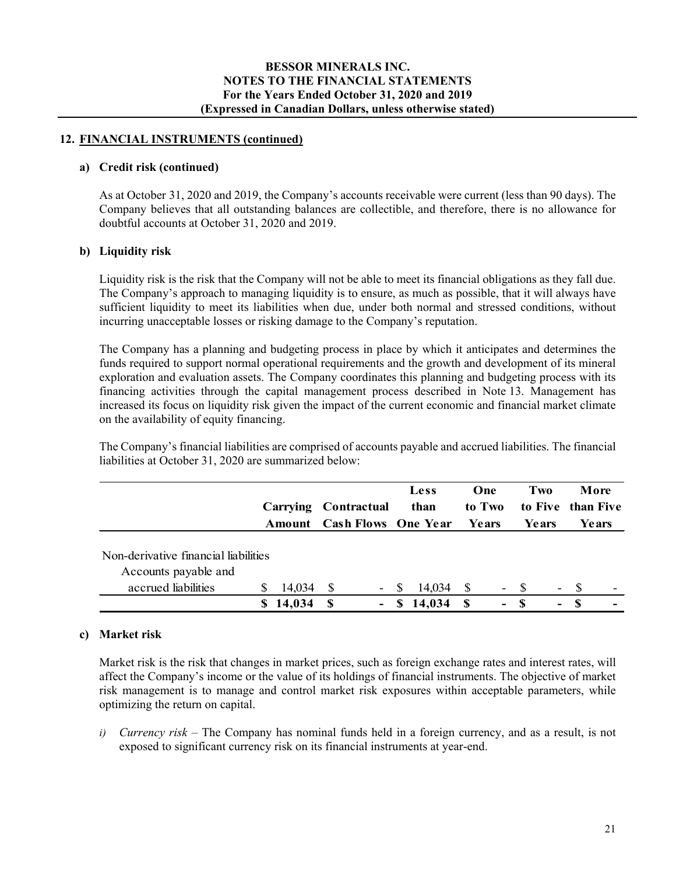#### **12. FINANCIAL INSTRUMENTS (continued)**

#### **a) Credit risk (continued)**

As at October 31, 2020 and 2019, the Company's accounts receivable were current (less than 90 days). The Company believes that all outstanding balances are collectible, and therefore, there is no allowance for doubtful accounts at October 31, 2020 and 2019.

#### **b) Liquidity risk**

Liquidity risk is the risk that the Company will not be able to meet its financial obligations as they fall due. The Company's approach to managing liquidity is to ensure, as much as possible, that it will always have sufficient liquidity to meet its liabilities when due, under both normal and stressed conditions, without incurring unacceptable losses or risking damage to the Company's reputation.

The Company has a planning and budgeting process in place by which it anticipates and determines the funds required to support normal operational requirements and the growth and development of its mineral exploration and evaluation assets. The Company coordinates this planning and budgeting process with its financing activities through the capital management process described in Note 13. Management has increased its focus on liquidity risk given the impact of the current economic and financial market climate on the availability of equity financing.

The Company's financial liabilities are comprised of accounts payable and accrued liabilities. The financial liabilities at October 31, 2020 are summarized below:

|                                      |   | Carrying Contractual |    |                          | Less<br>than<br><b>Amount</b> Cash Flows One Year | One<br>to Two<br>Years |                | Two<br><b>Years</b> |   | More<br>to Five than Five<br>Years |
|--------------------------------------|---|----------------------|----|--------------------------|---------------------------------------------------|------------------------|----------------|---------------------|---|------------------------------------|
| Non-derivative financial liabilities |   |                      |    |                          |                                                   |                        |                |                     |   |                                    |
| Accounts payable and                 |   |                      |    |                          |                                                   |                        |                |                     |   |                                    |
| accrued liabilities                  | S | 14,034               | -S | $- S$                    | 14,034                                            | -S                     |                | $- S$               |   | $- S$<br>$\overline{\phantom{0}}$  |
|                                      |   | 14.034               |    | $\overline{\phantom{a}}$ | 14,034                                            | -S                     | $\blacksquare$ | <b>S</b>            | ۰ | -S<br>-                            |

#### **c) Market risk**

Market risk is the risk that changes in market prices, such as foreign exchange rates and interest rates, will affect the Company's income or the value of its holdings of financial instruments. The objective of market risk management is to manage and control market risk exposures within acceptable parameters, while optimizing the return on capital.

*i) Currency risk –* The Company has nominal funds held in a foreign currency, and as a result, is not exposed to significant currency risk on its financial instruments at year-end.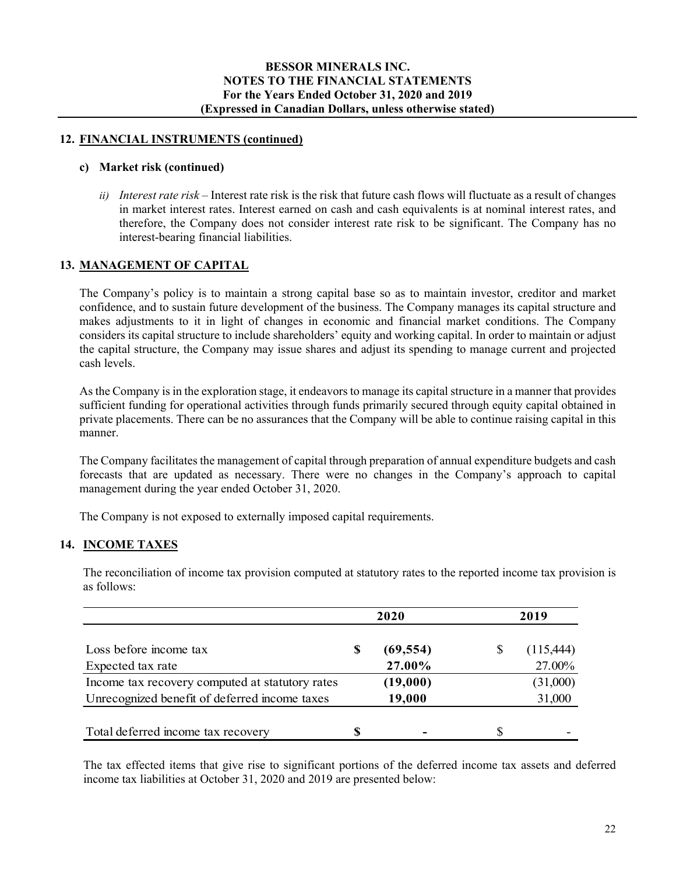#### **12. FINANCIAL INSTRUMENTS (continued)**

#### **c) Market risk (continued)**

*ii) Interest rate risk –* Interest rate risk is the risk that future cash flows will fluctuate as a result of changes in market interest rates. Interest earned on cash and cash equivalents is at nominal interest rates, and therefore, the Company does not consider interest rate risk to be significant. The Company has no interest-bearing financial liabilities.

#### **13. MANAGEMENT OF CAPITAL**

The Company's policy is to maintain a strong capital base so as to maintain investor, creditor and market confidence, and to sustain future development of the business. The Company manages its capital structure and makes adjustments to it in light of changes in economic and financial market conditions. The Company considers its capital structure to include shareholders' equity and working capital. In order to maintain or adjust the capital structure, the Company may issue shares and adjust its spending to manage current and projected cash levels.

As the Company is in the exploration stage, it endeavors to manage its capital structure in a manner that provides sufficient funding for operational activities through funds primarily secured through equity capital obtained in private placements. There can be no assurances that the Company will be able to continue raising capital in this manner.

The Company facilitates the management of capital through preparation of annual expenditure budgets and cash forecasts that are updated as necessary. There were no changes in the Company's approach to capital management during the year ended October 31, 2020.

The Company is not exposed to externally imposed capital requirements.

### **14. INCOME TAXES**

The reconciliation of income tax provision computed at statutory rates to the reported income tax provision is as follows:

|                                                 |   | 2020      | 2019 |            |  |  |
|-------------------------------------------------|---|-----------|------|------------|--|--|
| Loss before income tax                          | S | (69, 554) |      | (115, 444) |  |  |
| Expected tax rate                               |   | 27.00%    |      | 27.00%     |  |  |
| Income tax recovery computed at statutory rates |   | (19,000)  |      | (31,000)   |  |  |
| Unrecognized benefit of deferred income taxes   |   | 19,000    |      | 31,000     |  |  |
| Total deferred income tax recovery              |   |           |      |            |  |  |

The tax effected items that give rise to significant portions of the deferred income tax assets and deferred income tax liabilities at October 31, 2020 and 2019 are presented below: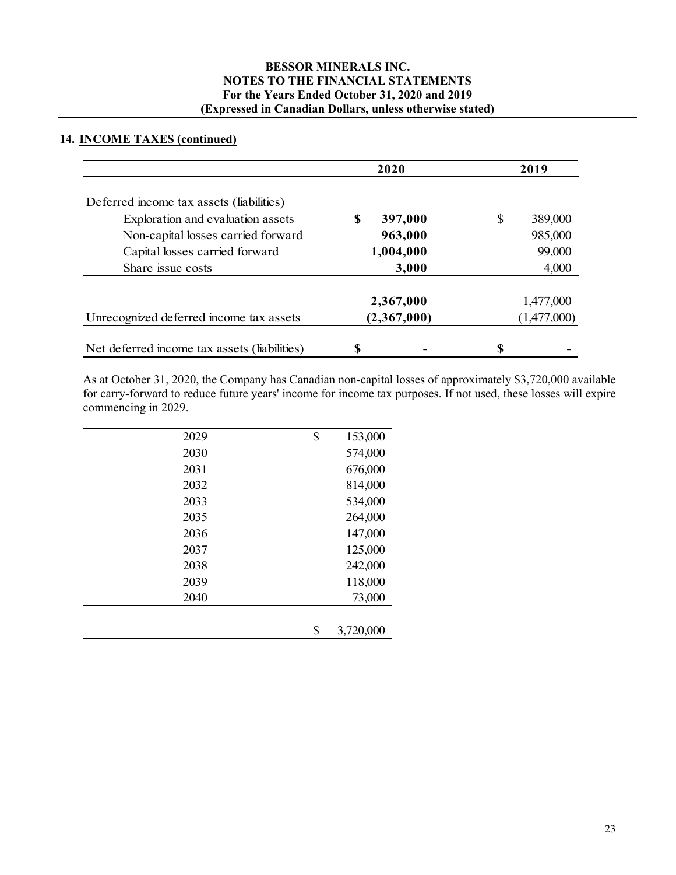### **BESSOR MINERALS INC. NOTES TO THE FINANCIAL STATEMENTS For the Years Ended October 31, 2020 and 2019 (Expressed in Canadian Dollars, unless otherwise stated)**

### **14. INCOME TAXES (continued)**

|                                              | 2020          |   | 2019        |  |  |  |
|----------------------------------------------|---------------|---|-------------|--|--|--|
| Deferred income tax assets (liabilities)     |               |   |             |  |  |  |
| Exploration and evaluation assets            | \$<br>397,000 | S | 389,000     |  |  |  |
| Non-capital losses carried forward           | 963,000       |   | 985,000     |  |  |  |
| Capital losses carried forward               | 1,004,000     |   | 99,000      |  |  |  |
| Share issue costs                            | 3,000         |   | 4,000       |  |  |  |
|                                              | 2,367,000     |   | 1,477,000   |  |  |  |
| Unrecognized deferred income tax assets      | (2,367,000)   |   | (1,477,000) |  |  |  |
| Net deferred income tax assets (liabilities) | \$            | S |             |  |  |  |

As at October 31, 2020, the Company has Canadian non-capital losses of approximately \$3,720,000 available for carry-forward to reduce future years' income for income tax purposes. If not used, these losses will expire commencing in 2029.

| 2029 | \$<br>153,000   |
|------|-----------------|
| 2030 | 574,000         |
| 2031 | 676,000         |
| 2032 | 814,000         |
| 2033 | 534,000         |
| 2035 | 264,000         |
| 2036 | 147,000         |
| 2037 | 125,000         |
| 2038 | 242,000         |
| 2039 | 118,000         |
| 2040 | 73,000          |
|      |                 |
|      | \$<br>3,720,000 |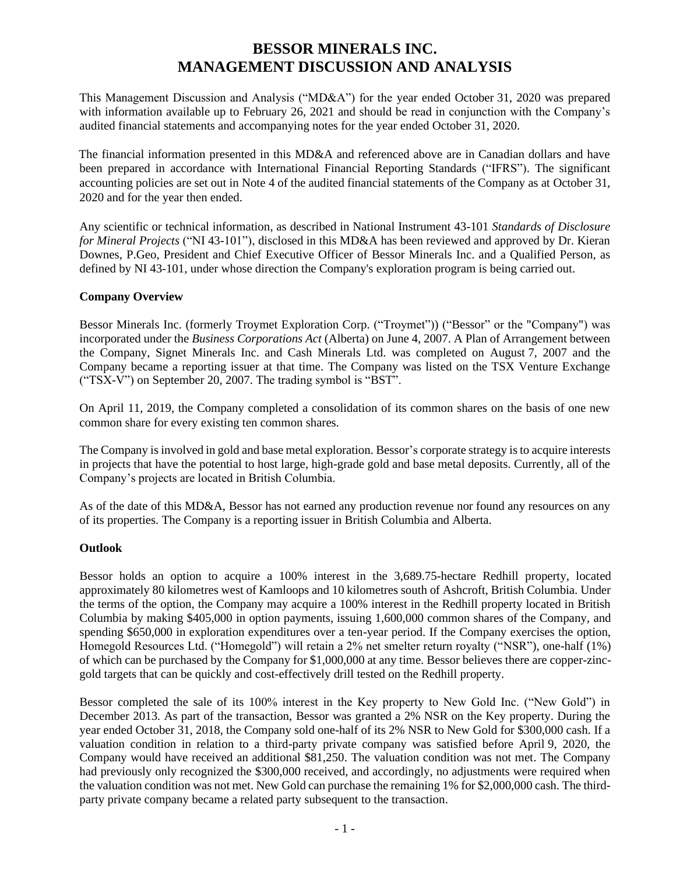# **BESSOR MINERALS INC. MANAGEMENT DISCUSSION AND ANALYSIS**

This Management Discussion and Analysis ("MD&A") for the year ended October 31, 2020 was prepared with information available up to February 26, 2021 and should be read in conjunction with the Company's audited financial statements and accompanying notes for the year ended October 31, 2020.

The financial information presented in this MD&A and referenced above are in Canadian dollars and have been prepared in accordance with International Financial Reporting Standards ("IFRS"). The significant accounting policies are set out in Note 4 of the audited financial statements of the Company as at October 31, 2020 and for the year then ended.

Any scientific or technical information, as described in National Instrument 43-101 *Standards of Disclosure for Mineral Projects* ("NI 43-101"), disclosed in this MD&A has been reviewed and approved by Dr. Kieran Downes, P.Geo, President and Chief Executive Officer of Bessor Minerals Inc. and a Qualified Person, as defined by NI 43-101, under whose direction the Company's exploration program is being carried out.

#### **Company Overview**

Bessor Minerals Inc. (formerly Troymet Exploration Corp. ("Troymet")) ("Bessor" or the "Company") was incorporated under the *Business Corporations Act* (Alberta) on June 4, 2007. A Plan of Arrangement between the Company, Signet Minerals Inc. and Cash Minerals Ltd. was completed on August 7, 2007 and the Company became a reporting issuer at that time. The Company was listed on the TSX Venture Exchange ("TSX-V") on September 20, 2007. The trading symbol is "BST".

On April 11, 2019, the Company completed a consolidation of its common shares on the basis of one new common share for every existing ten common shares.

The Company is involved in gold and base metal exploration. Bessor's corporate strategy is to acquire interests in projects that have the potential to host large, high-grade gold and base metal deposits. Currently, all of the Company's projects are located in British Columbia.

As of the date of this MD&A, Bessor has not earned any production revenue nor found any resources on any of its properties. The Company is a reporting issuer in British Columbia and Alberta.

#### **Outlook**

Bessor holds an option to acquire a 100% interest in the 3,689.75-hectare Redhill property, located approximately 80 kilometres west of Kamloops and 10 kilometres south of Ashcroft, British Columbia. Under the terms of the option, the Company may acquire a 100% interest in the Redhill property located in British Columbia by making \$405,000 in option payments, issuing 1,600,000 common shares of the Company, and spending \$650,000 in exploration expenditures over a ten-year period. If the Company exercises the option, Homegold Resources Ltd. ("Homegold") will retain a 2% net smelter return royalty ("NSR"), one-half (1%) of which can be purchased by the Company for \$1,000,000 at any time. Bessor believes there are copper-zincgold targets that can be quickly and cost-effectively drill tested on the Redhill property.

Bessor completed the sale of its 100% interest in the Key property to New Gold Inc. ("New Gold") in December 2013. As part of the transaction, Bessor was granted a 2% NSR on the Key property. During the year ended October 31, 2018, the Company sold one-half of its 2% NSR to New Gold for \$300,000 cash. If a valuation condition in relation to a third-party private company was satisfied before April 9, 2020, the Company would have received an additional \$81,250. The valuation condition was not met. The Company had previously only recognized the \$300,000 received, and accordingly, no adjustments were required when the valuation condition was not met. New Gold can purchase the remaining 1% for \$2,000,000 cash. The thirdparty private company became a related party subsequent to the transaction.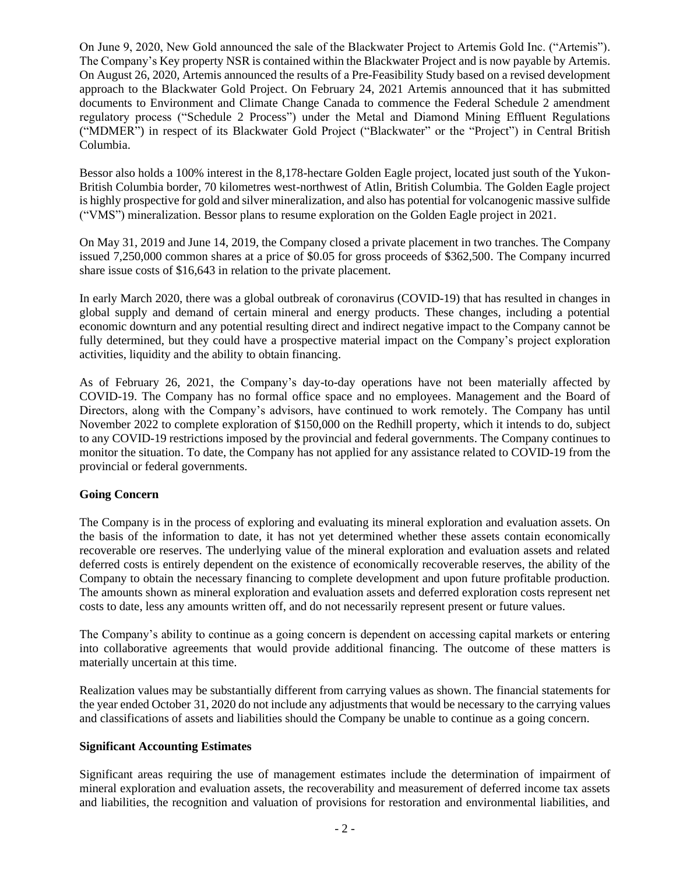On June 9, 2020, New Gold announced the sale of the Blackwater Project to Artemis Gold Inc. ("Artemis"). The Company's Key property NSR is contained within the Blackwater Project and is now payable by Artemis. On August 26, 2020, Artemis announced the results of a Pre-Feasibility Study based on a revised development approach to the Blackwater Gold Project. On February 24, 2021 Artemis announced that it has submitted documents to Environment and Climate Change Canada to commence the Federal Schedule 2 amendment regulatory process ("Schedule 2 Process") under the Metal and Diamond Mining Effluent Regulations ("MDMER") in respect of its Blackwater Gold Project ("Blackwater" or the "Project") in Central British Columbia.

Bessor also holds a 100% interest in the 8,178-hectare Golden Eagle project, located just south of the Yukon-British Columbia border, 70 kilometres west-northwest of Atlin, British Columbia. The Golden Eagle project is highly prospective for gold and silver mineralization, and also has potential for volcanogenic massive sulfide ("VMS") mineralization. Bessor plans to resume exploration on the Golden Eagle project in 2021.

On May 31, 2019 and June 14, 2019, the Company closed a private placement in two tranches. The Company issued 7,250,000 common shares at a price of \$0.05 for gross proceeds of \$362,500. The Company incurred share issue costs of \$16,643 in relation to the private placement.

In early March 2020, there was a global outbreak of coronavirus (COVID-19) that has resulted in changes in global supply and demand of certain mineral and energy products. These changes, including a potential economic downturn and any potential resulting direct and indirect negative impact to the Company cannot be fully determined, but they could have a prospective material impact on the Company's project exploration activities, liquidity and the ability to obtain financing.

As of February 26, 2021, the Company's day-to-day operations have not been materially affected by COVID-19. The Company has no formal office space and no employees. Management and the Board of Directors, along with the Company's advisors, have continued to work remotely. The Company has until November 2022 to complete exploration of \$150,000 on the Redhill property, which it intends to do, subject to any COVID-19 restrictions imposed by the provincial and federal governments. The Company continues to monitor the situation. To date, the Company has not applied for any assistance related to COVID-19 from the provincial or federal governments.

#### **Going Concern**

The Company is in the process of exploring and evaluating its mineral exploration and evaluation assets. On the basis of the information to date, it has not yet determined whether these assets contain economically recoverable ore reserves. The underlying value of the mineral exploration and evaluation assets and related deferred costs is entirely dependent on the existence of economically recoverable reserves, the ability of the Company to obtain the necessary financing to complete development and upon future profitable production. The amounts shown as mineral exploration and evaluation assets and deferred exploration costs represent net costs to date, less any amounts written off, and do not necessarily represent present or future values.

The Company's ability to continue as a going concern is dependent on accessing capital markets or entering into collaborative agreements that would provide additional financing. The outcome of these matters is materially uncertain at this time.

Realization values may be substantially different from carrying values as shown. The financial statements for the year ended October 31, 2020 do not include any adjustments that would be necessary to the carrying values and classifications of assets and liabilities should the Company be unable to continue as a going concern.

#### **Significant Accounting Estimates**

Significant areas requiring the use of management estimates include the determination of impairment of mineral exploration and evaluation assets, the recoverability and measurement of deferred income tax assets and liabilities, the recognition and valuation of provisions for restoration and environmental liabilities, and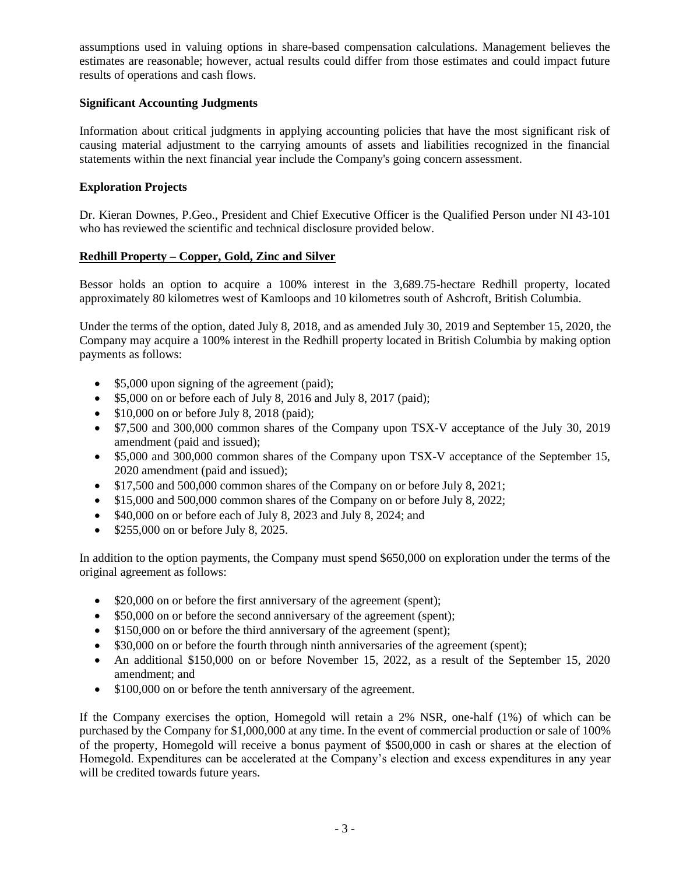assumptions used in valuing options in share-based compensation calculations. Management believes the estimates are reasonable; however, actual results could differ from those estimates and could impact future results of operations and cash flows.

### **Significant Accounting Judgments**

Information about critical judgments in applying accounting policies that have the most significant risk of causing material adjustment to the carrying amounts of assets and liabilities recognized in the financial statements within the next financial year include the Company's going concern assessment.

#### **Exploration Projects**

Dr. Kieran Downes, P.Geo., President and Chief Executive Officer is the Qualified Person under NI 43-101 who has reviewed the scientific and technical disclosure provided below.

#### **Redhill Property – Copper, Gold, Zinc and Silver**

Bessor holds an option to acquire a 100% interest in the 3,689.75-hectare Redhill property, located approximately 80 kilometres west of Kamloops and 10 kilometres south of Ashcroft, British Columbia.

Under the terms of the option, dated July 8, 2018, and as amended July 30, 2019 and September 15, 2020, the Company may acquire a 100% interest in the Redhill property located in British Columbia by making option payments as follows:

- \$5,000 upon signing of the agreement (paid);
- \$5,000 on or before each of July 8, 2016 and July 8, 2017 (paid);
- $$10,000$  on or before July 8, 2018 (paid);
- \$7,500 and 300,000 common shares of the Company upon TSX-V acceptance of the July 30, 2019 amendment (paid and issued);
- \$5,000 and 300,000 common shares of the Company upon TSX-V acceptance of the September 15, 2020 amendment (paid and issued);
- \$17,500 and 500,000 common shares of the Company on or before July 8, 2021;
- \$15,000 and 500,000 common shares of the Company on or before July 8, 2022;
- \$40,000 on or before each of July 8, 2023 and July 8, 2024; and
- \$255,000 on or before July 8, 2025.

In addition to the option payments, the Company must spend \$650,000 on exploration under the terms of the original agreement as follows:

- \$20,000 on or before the first anniversary of the agreement (spent);
- \$50,000 on or before the second anniversary of the agreement (spent);
- \$150,000 on or before the third anniversary of the agreement (spent);
- \$30,000 on or before the fourth through ninth anniversaries of the agreement (spent);
- An additional \$150,000 on or before November 15, 2022, as a result of the September 15, 2020 amendment; and
- \$100,000 on or before the tenth anniversary of the agreement.

If the Company exercises the option, Homegold will retain a 2% NSR, one-half (1%) of which can be purchased by the Company for \$1,000,000 at any time. In the event of commercial production or sale of 100% of the property, Homegold will receive a bonus payment of \$500,000 in cash or shares at the election of Homegold. Expenditures can be accelerated at the Company's election and excess expenditures in any year will be credited towards future years.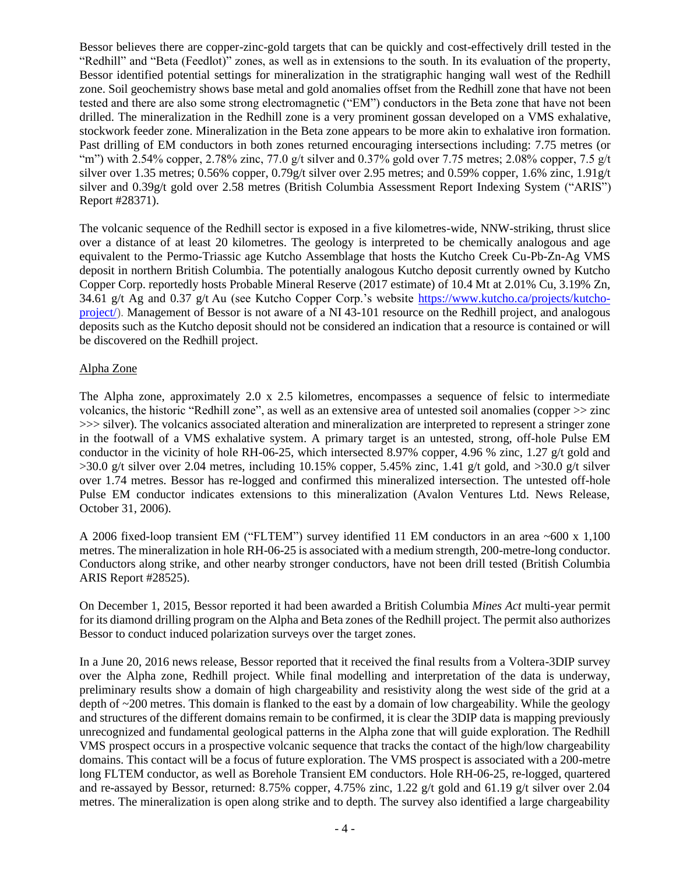Bessor believes there are copper-zinc-gold targets that can be quickly and cost-effectively drill tested in the "Redhill" and "Beta (Feedlot)" zones, as well as in extensions to the south. In its evaluation of the property, Bessor identified potential settings for mineralization in the stratigraphic hanging wall west of the Redhill zone. Soil geochemistry shows base metal and gold anomalies offset from the Redhill zone that have not been tested and there are also some strong electromagnetic ("EM") conductors in the Beta zone that have not been drilled. The mineralization in the Redhill zone is a very prominent gossan developed on a VMS exhalative, stockwork feeder zone. Mineralization in the Beta zone appears to be more akin to exhalative iron formation. Past drilling of EM conductors in both zones returned encouraging intersections including: 7.75 metres (or "m") with 2.54% copper, 2.78% zinc, 77.0 g/t silver and 0.37% gold over 7.75 metres; 2.08% copper, 7.5 g/t silver over 1.35 metres; 0.56% copper, 0.79g/t silver over 2.95 metres; and 0.59% copper, 1.6% zinc, 1.91g/t silver and 0.39g/t gold over 2.58 metres (British Columbia Assessment Report Indexing System ("ARIS") Report #28371).

The volcanic sequence of the Redhill sector is exposed in a five kilometres-wide, NNW-striking, thrust slice over a distance of at least 20 kilometres. The geology is interpreted to be chemically analogous and age equivalent to the Permo-Triassic age Kutcho Assemblage that hosts the Kutcho Creek Cu-Pb-Zn-Ag VMS deposit in northern British Columbia. The potentially analogous Kutcho deposit currently owned by Kutcho Copper Corp. reportedly hosts Probable Mineral Reserve (2017 estimate) of 10.4 Mt at 2.01% Cu, 3.19% Zn, 34.61 g/t Ag and 0.37 g/t Au (see Kutcho Copper Corp.'s website [https://www.kutcho.ca/projects/kutcho](https://www.kutcho.ca/projects/kutcho-project/)[project/\)](https://www.kutcho.ca/projects/kutcho-project/). Management of Bessor is not aware of a NI 43-101 resource on the Redhill project, and analogous deposits such as the Kutcho deposit should not be considered an indication that a resource is contained or will be discovered on the Redhill project.

#### Alpha Zone

The Alpha zone, approximately 2.0 x 2.5 kilometres, encompasses a sequence of felsic to intermediate volcanics, the historic "Redhill zone", as well as an extensive area of untested soil anomalies (copper >> zinc >>> silver). The volcanics associated alteration and mineralization are interpreted to represent a stringer zone in the footwall of a VMS exhalative system. A primary target is an untested, strong, off-hole Pulse EM conductor in the vicinity of hole RH-06-25, which intersected 8.97% copper, 4.96 % zinc, 1.27 g/t gold and  $>30.0$  g/t silver over 2.04 metres, including 10.15% copper, 5.45% zinc, 1.41 g/t gold, and  $>30.0$  g/t silver over 1.74 metres. Bessor has re-logged and confirmed this mineralized intersection. The untested off-hole Pulse EM conductor indicates extensions to this mineralization (Avalon Ventures Ltd. News Release, October 31, 2006).

A 2006 fixed-loop transient EM ("FLTEM") survey identified 11 EM conductors in an area ~600 x 1,100 metres. The mineralization in hole RH-06-25 is associated with a medium strength, 200-metre-long conductor. Conductors along strike, and other nearby stronger conductors, have not been drill tested (British Columbia ARIS Report #28525).

On December 1, 2015, Bessor reported it had been awarded a British Columbia *Mines Act* multi-year permit for its diamond drilling program on the Alpha and Beta zones of the Redhill project. The permit also authorizes Bessor to conduct induced polarization surveys over the target zones.

In a June 20, 2016 news release, Bessor reported that it received the final results from a Voltera-3DIP survey over the Alpha zone, Redhill project. While final modelling and interpretation of the data is underway, preliminary results show a domain of high chargeability and resistivity along the west side of the grid at a depth of ~200 metres. This domain is flanked to the east by a domain of low chargeability. While the geology and structures of the different domains remain to be confirmed, it is clear the 3DIP data is mapping previously unrecognized and fundamental geological patterns in the Alpha zone that will guide exploration. The Redhill VMS prospect occurs in a prospective volcanic sequence that tracks the contact of the high/low chargeability domains. This contact will be a focus of future exploration. The VMS prospect is associated with a 200-metre long FLTEM conductor, as well as Borehole Transient EM conductors. Hole RH-06-25, re-logged, quartered and re-assayed by Bessor, returned: 8.75% copper, 4.75% zinc, 1.22 g/t gold and 61.19 g/t silver over 2.04 metres. The mineralization is open along strike and to depth. The survey also identified a large chargeability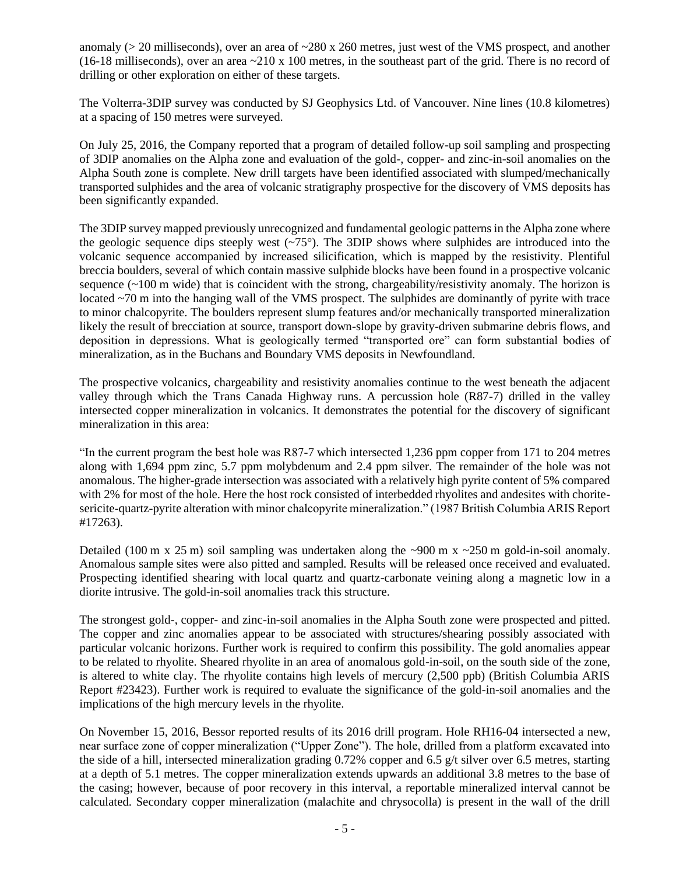anomaly ( $> 20$  milliseconds), over an area of  $\sim$ 280 x 260 metres, just west of the VMS prospect, and another (16-18 milliseconds), over an area ~210 x 100 metres, in the southeast part of the grid. There is no record of drilling or other exploration on either of these targets.

The Volterra-3DIP survey was conducted by SJ Geophysics Ltd. of Vancouver. Nine lines (10.8 kilometres) at a spacing of 150 metres were surveyed.

On July 25, 2016, the Company reported that a program of detailed follow-up soil sampling and prospecting of 3DIP anomalies on the Alpha zone and evaluation of the gold-, copper- and zinc-in-soil anomalies on the Alpha South zone is complete. New drill targets have been identified associated with slumped/mechanically transported sulphides and the area of volcanic stratigraphy prospective for the discovery of VMS deposits has been significantly expanded.

The 3DIP survey mapped previously unrecognized and fundamental geologic patterns in the Alpha zone where the geologic sequence dips steeply west  $(-75^{\circ})$ . The 3DIP shows where sulphides are introduced into the volcanic sequence accompanied by increased silicification, which is mapped by the resistivity. Plentiful breccia boulders, several of which contain massive sulphide blocks have been found in a prospective volcanic sequence  $(\sim 100 \text{ m}$  wide) that is coincident with the strong, chargeability/resistivity anomaly. The horizon is located ~70 m into the hanging wall of the VMS prospect. The sulphides are dominantly of pyrite with trace to minor chalcopyrite. The boulders represent slump features and/or mechanically transported mineralization likely the result of brecciation at source, transport down-slope by gravity-driven submarine debris flows, and deposition in depressions. What is geologically termed "transported ore" can form substantial bodies of mineralization, as in the Buchans and Boundary VMS deposits in Newfoundland.

The prospective volcanics, chargeability and resistivity anomalies continue to the west beneath the adjacent valley through which the Trans Canada Highway runs. A percussion hole (R87-7) drilled in the valley intersected copper mineralization in volcanics. It demonstrates the potential for the discovery of significant mineralization in this area:

"In the current program the best hole was R87-7 which intersected 1,236 ppm copper from 171 to 204 metres along with 1,694 ppm zinc, 5.7 ppm molybdenum and 2.4 ppm silver. The remainder of the hole was not anomalous. The higher-grade intersection was associated with a relatively high pyrite content of 5% compared with 2% for most of the hole. Here the host rock consisted of interbedded rhyolites and andesites with choritesericite-quartz-pyrite alteration with minor chalcopyrite mineralization." (1987 British Columbia ARIS Report #17263).

Detailed (100 m x 25 m) soil sampling was undertaken along the ~900 m x ~250 m gold-in-soil anomaly. Anomalous sample sites were also pitted and sampled. Results will be released once received and evaluated. Prospecting identified shearing with local quartz and quartz-carbonate veining along a magnetic low in a diorite intrusive. The gold-in-soil anomalies track this structure.

The strongest gold-, copper- and zinc-in-soil anomalies in the Alpha South zone were prospected and pitted. The copper and zinc anomalies appear to be associated with structures/shearing possibly associated with particular volcanic horizons. Further work is required to confirm this possibility. The gold anomalies appear to be related to rhyolite. Sheared rhyolite in an area of anomalous gold-in-soil, on the south side of the zone, is altered to white clay. The rhyolite contains high levels of mercury (2,500 ppb) (British Columbia ARIS Report #23423). Further work is required to evaluate the significance of the gold-in-soil anomalies and the implications of the high mercury levels in the rhyolite.

On November 15, 2016, Bessor reported results of its 2016 drill program. Hole RH16-04 intersected a new, near surface zone of copper mineralization ("Upper Zone"). The hole, drilled from a platform excavated into the side of a hill, intersected mineralization grading 0.72% copper and 6.5  $g/t$  silver over 6.5 metres, starting at a depth of 5.1 metres. The copper mineralization extends upwards an additional 3.8 metres to the base of the casing; however, because of poor recovery in this interval, a reportable mineralized interval cannot be calculated. Secondary copper mineralization (malachite and chrysocolla) is present in the wall of the drill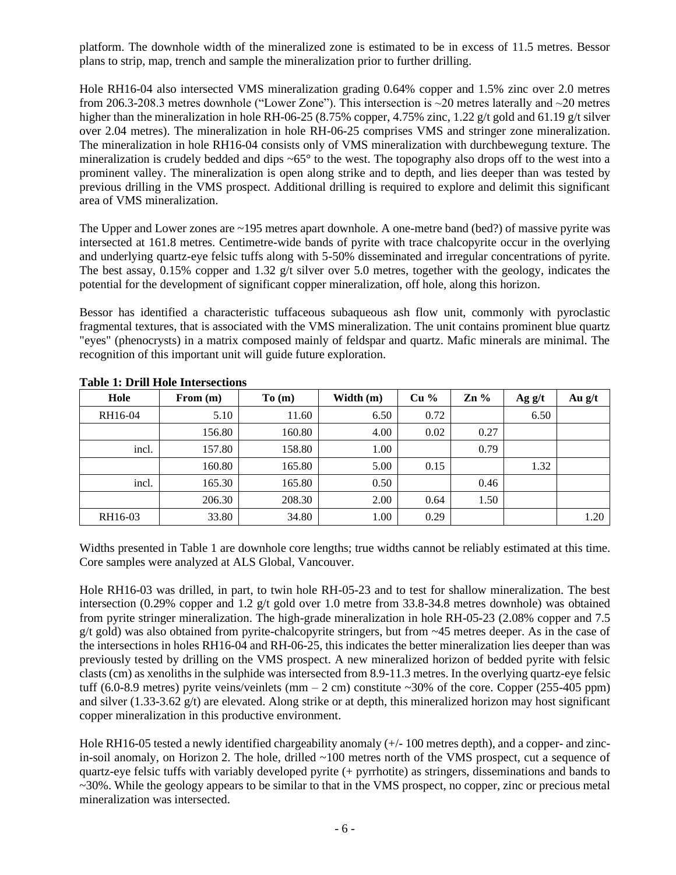platform. The downhole width of the mineralized zone is estimated to be in excess of 11.5 metres. Bessor plans to strip, map, trench and sample the mineralization prior to further drilling.

Hole RH16-04 also intersected VMS mineralization grading 0.64% copper and 1.5% zinc over 2.0 metres from 206.3-208.3 metres downhole ("Lower Zone"). This intersection is ~20 metres laterally and ~20 metres higher than the mineralization in hole RH-06-25 (8.75% copper, 4.75% zinc, 1.22 g/t gold and 61.19 g/t silver over 2.04 metres). The mineralization in hole RH-06-25 comprises VMS and stringer zone mineralization. The mineralization in hole RH16-04 consists only of VMS mineralization with durchbewegung texture. The mineralization is crudely bedded and dips ~65° to the west. The topography also drops off to the west into a prominent valley. The mineralization is open along strike and to depth, and lies deeper than was tested by previous drilling in the VMS prospect. Additional drilling is required to explore and delimit this significant area of VMS mineralization.

The Upper and Lower zones are ~195 metres apart downhole. A one-metre band (bed?) of massive pyrite was intersected at 161.8 metres. Centimetre-wide bands of pyrite with trace chalcopyrite occur in the overlying and underlying quartz-eye felsic tuffs along with 5-50% disseminated and irregular concentrations of pyrite. The best assay, 0.15% copper and 1.32 g/t silver over 5.0 metres, together with the geology, indicates the potential for the development of significant copper mineralization, off hole, along this horizon.

Bessor has identified a characteristic tuffaceous subaqueous ash flow unit, commonly with pyroclastic fragmental textures, that is associated with the VMS mineralization. The unit contains prominent blue quartz "eyes" (phenocrysts) in a matrix composed mainly of feldspar and quartz. Mafic minerals are minimal. The recognition of this important unit will guide future exploration.

| Hole    | From $(m)$ | To(m)  | Width (m) | $Cu\%$ | $\mathbf{Zn}$ % | Ag g/t | Au $g/t$ |
|---------|------------|--------|-----------|--------|-----------------|--------|----------|
| RH16-04 | 5.10       | 11.60  | 6.50      | 0.72   |                 | 6.50   |          |
|         | 156.80     | 160.80 | 4.00      | 0.02   | 0.27            |        |          |
| incl.   | 157.80     | 158.80 | 1.00      |        | 0.79            |        |          |
|         | 160.80     | 165.80 | 5.00      | 0.15   |                 | 1.32   |          |
| incl.   | 165.30     | 165.80 | 0.50      |        | 0.46            |        |          |
|         | 206.30     | 208.30 | 2.00      | 0.64   | 1.50            |        |          |
| RH16-03 | 33.80      | 34.80  | 1.00      | 0.29   |                 |        | 1.20     |

**Table 1: Drill Hole Intersections**

Widths presented in Table 1 are downhole core lengths; true widths cannot be reliably estimated at this time. Core samples were analyzed at ALS Global, Vancouver.

Hole RH16-03 was drilled, in part, to twin hole RH-05-23 and to test for shallow mineralization. The best intersection (0.29% copper and 1.2  $g/t$  gold over 1.0 metre from 33.8-34.8 metres downhole) was obtained from pyrite stringer mineralization. The high-grade mineralization in hole RH-05-23 (2.08% copper and 7.5 g/t gold) was also obtained from pyrite-chalcopyrite stringers, but from ~45 metres deeper. As in the case of the intersections in holes RH16-04 and RH-06-25, this indicates the better mineralization lies deeper than was previously tested by drilling on the VMS prospect. A new mineralized horizon of bedded pyrite with felsic clasts (cm) as xenoliths in the sulphide was intersected from 8.9-11.3 metres. In the overlying quartz-eye felsic tuff (6.0-8.9 metres) pyrite veins/veinlets (mm  $-2$  cm) constitute  $\sim$ 30% of the core. Copper (255-405 ppm) and silver  $(1.33-3.62 \text{ g/t})$  are elevated. Along strike or at depth, this mineralized horizon may host significant copper mineralization in this productive environment.

Hole RH16-05 tested a newly identified chargeability anomaly (+/- 100 metres depth), and a copper- and zincin-soil anomaly, on Horizon 2. The hole, drilled ~100 metres north of the VMS prospect, cut a sequence of quartz-eye felsic tuffs with variably developed pyrite (+ pyrrhotite) as stringers, disseminations and bands to ~30%. While the geology appears to be similar to that in the VMS prospect, no copper, zinc or precious metal mineralization was intersected.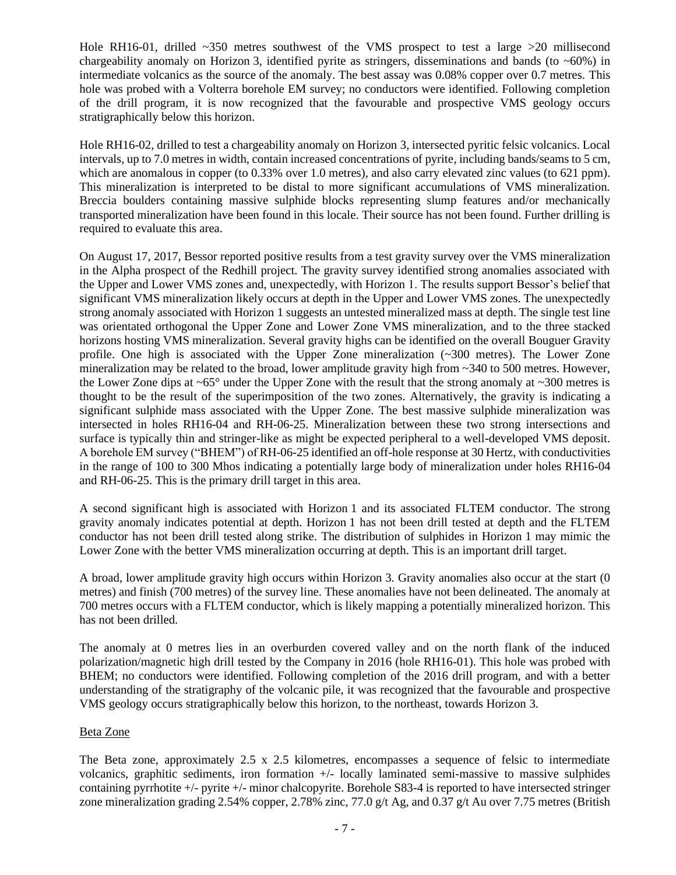Hole RH16-01, drilled ~350 metres southwest of the VMS prospect to test a large >20 millisecond chargeability anomaly on Horizon 3, identified pyrite as stringers, disseminations and bands (to  $\sim 60\%$ ) in intermediate volcanics as the source of the anomaly. The best assay was 0.08% copper over 0.7 metres. This hole was probed with a Volterra borehole EM survey; no conductors were identified. Following completion of the drill program, it is now recognized that the favourable and prospective VMS geology occurs stratigraphically below this horizon.

Hole RH16-02, drilled to test a chargeability anomaly on Horizon 3, intersected pyritic felsic volcanics. Local intervals, up to 7.0 metres in width, contain increased concentrations of pyrite, including bands/seams to 5 cm, which are anomalous in copper (to  $0.33\%$  over 1.0 metres), and also carry elevated zinc values (to 621 ppm). This mineralization is interpreted to be distal to more significant accumulations of VMS mineralization. Breccia boulders containing massive sulphide blocks representing slump features and/or mechanically transported mineralization have been found in this locale. Their source has not been found. Further drilling is required to evaluate this area.

On August 17, 2017, Bessor reported positive results from a test gravity survey over the VMS mineralization in the Alpha prospect of the Redhill project. The gravity survey identified strong anomalies associated with the Upper and Lower VMS zones and, unexpectedly, with Horizon 1. The results support Bessor's belief that significant VMS mineralization likely occurs at depth in the Upper and Lower VMS zones. The unexpectedly strong anomaly associated with Horizon 1 suggests an untested mineralized mass at depth. The single test line was orientated orthogonal the Upper Zone and Lower Zone VMS mineralization, and to the three stacked horizons hosting VMS mineralization. Several gravity highs can be identified on the overall Bouguer Gravity profile. One high is associated with the Upper Zone mineralization (~300 metres). The Lower Zone mineralization may be related to the broad, lower amplitude gravity high from ~340 to 500 metres. However, the Lower Zone dips at  $\sim 65^\circ$  under the Upper Zone with the result that the strong anomaly at  $\sim 300$  metres is thought to be the result of the superimposition of the two zones. Alternatively, the gravity is indicating a significant sulphide mass associated with the Upper Zone. The best massive sulphide mineralization was intersected in holes RH16-04 and RH-06-25. Mineralization between these two strong intersections and surface is typically thin and stringer-like as might be expected peripheral to a well-developed VMS deposit. A borehole EM survey ("BHEM") of RH-06-25 identified an off-hole response at 30 Hertz, with conductivities in the range of 100 to 300 Mhos indicating a potentially large body of mineralization under holes RH16-04 and RH-06-25. This is the primary drill target in this area.

A second significant high is associated with Horizon 1 and its associated FLTEM conductor. The strong gravity anomaly indicates potential at depth. Horizon 1 has not been drill tested at depth and the FLTEM conductor has not been drill tested along strike. The distribution of sulphides in Horizon 1 may mimic the Lower Zone with the better VMS mineralization occurring at depth. This is an important drill target.

A broad, lower amplitude gravity high occurs within Horizon 3. Gravity anomalies also occur at the start (0 metres) and finish (700 metres) of the survey line. These anomalies have not been delineated. The anomaly at 700 metres occurs with a FLTEM conductor, which is likely mapping a potentially mineralized horizon. This has not been drilled.

The anomaly at 0 metres lies in an overburden covered valley and on the north flank of the induced polarization/magnetic high drill tested by the Company in 2016 (hole RH16-01). This hole was probed with BHEM; no conductors were identified. Following completion of the 2016 drill program, and with a better understanding of the stratigraphy of the volcanic pile, it was recognized that the favourable and prospective VMS geology occurs stratigraphically below this horizon, to the northeast, towards Horizon 3.

#### Beta Zone

The Beta zone, approximately 2.5 x 2.5 kilometres, encompasses a sequence of felsic to intermediate volcanics, graphitic sediments, iron formation +/- locally laminated semi-massive to massive sulphides containing pyrrhotite +/- pyrite +/- minor chalcopyrite. Borehole S83-4 is reported to have intersected stringer zone mineralization grading 2.54% copper, 2.78% zinc, 77.0 g/t Ag, and 0.37 g/t Au over 7.75 metres (British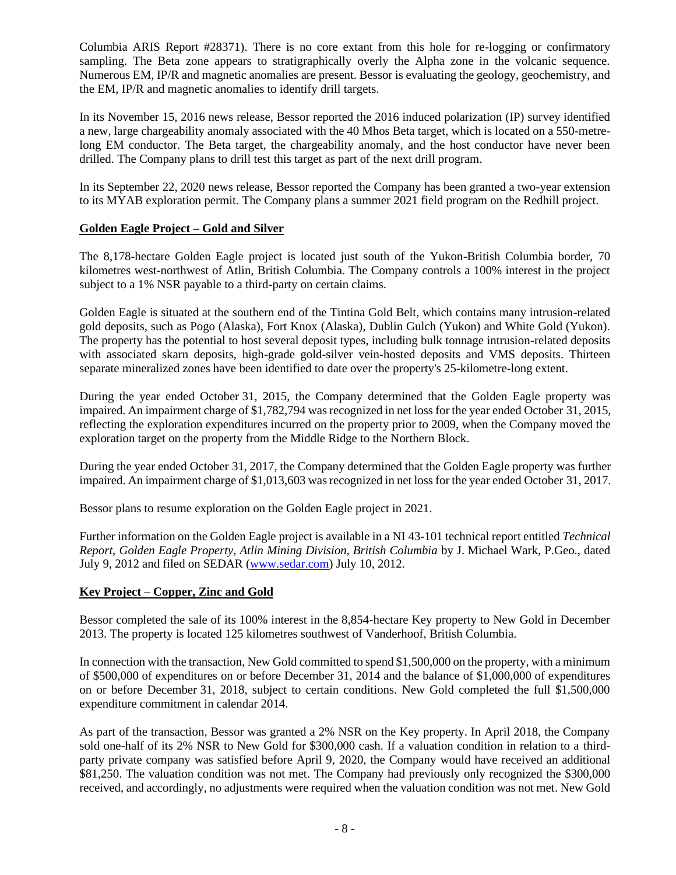Columbia ARIS Report #28371). There is no core extant from this hole for re-logging or confirmatory sampling. The Beta zone appears to stratigraphically overly the Alpha zone in the volcanic sequence. Numerous EM, IP/R and magnetic anomalies are present. Bessor is evaluating the geology, geochemistry, and the EM, IP/R and magnetic anomalies to identify drill targets.

In its November 15, 2016 news release, Bessor reported the 2016 induced polarization (IP) survey identified a new, large chargeability anomaly associated with the 40 Mhos Beta target, which is located on a 550-metrelong EM conductor. The Beta target, the chargeability anomaly, and the host conductor have never been drilled. The Company plans to drill test this target as part of the next drill program.

In its September 22, 2020 news release, Bessor reported the Company has been granted a two-year extension to its MYAB exploration permit. The Company plans a summer 2021 field program on the Redhill project.

#### **Golden Eagle Project – Gold and Silver**

The 8,178-hectare Golden Eagle project is located just south of the Yukon-British Columbia border, 70 kilometres west-northwest of Atlin, British Columbia. The Company controls a 100% interest in the project subject to a 1% NSR payable to a third-party on certain claims.

Golden Eagle is situated at the southern end of the Tintina Gold Belt, which contains many intrusion-related gold deposits, such as Pogo (Alaska), Fort Knox (Alaska), Dublin Gulch (Yukon) and White Gold (Yukon). The property has the potential to host several deposit types, including bulk tonnage intrusion-related deposits with associated skarn deposits, high-grade gold-silver vein-hosted deposits and VMS deposits. Thirteen separate mineralized zones have been identified to date over the property's 25-kilometre-long extent.

During the year ended October 31, 2015, the Company determined that the Golden Eagle property was impaired. An impairment charge of \$1,782,794 was recognized in net loss for the year ended October 31, 2015, reflecting the exploration expenditures incurred on the property prior to 2009, when the Company moved the exploration target on the property from the Middle Ridge to the Northern Block.

During the year ended October 31, 2017, the Company determined that the Golden Eagle property was further impaired. An impairment charge of \$1,013,603 was recognized in net loss for the year ended October 31, 2017.

Bessor plans to resume exploration on the Golden Eagle project in 2021.

Further information on the Golden Eagle project is available in a NI 43-101 technical report entitled *Technical Report, Golden Eagle Property, Atlin Mining Division, British Columbia* by J. Michael Wark, P.Geo., dated July 9, 2012 and filed on SEDAR [\(www.sedar.com\)](http://www.sedar.com/) July 10, 2012.

### **Key Project – Copper, Zinc and Gold**

Bessor completed the sale of its 100% interest in the 8,854-hectare Key property to New Gold in December 2013. The property is located 125 kilometres southwest of Vanderhoof, British Columbia.

In connection with the transaction, New Gold committed to spend \$1,500,000 on the property, with a minimum of \$500,000 of expenditures on or before December 31, 2014 and the balance of \$1,000,000 of expenditures on or before December 31, 2018, subject to certain conditions. New Gold completed the full \$1,500,000 expenditure commitment in calendar 2014.

As part of the transaction, Bessor was granted a 2% NSR on the Key property. In April 2018, the Company sold one-half of its 2% NSR to New Gold for \$300,000 cash. If a valuation condition in relation to a thirdparty private company was satisfied before April 9, 2020, the Company would have received an additional \$81,250. The valuation condition was not met. The Company had previously only recognized the \$300,000 received, and accordingly, no adjustments were required when the valuation condition was not met. New Gold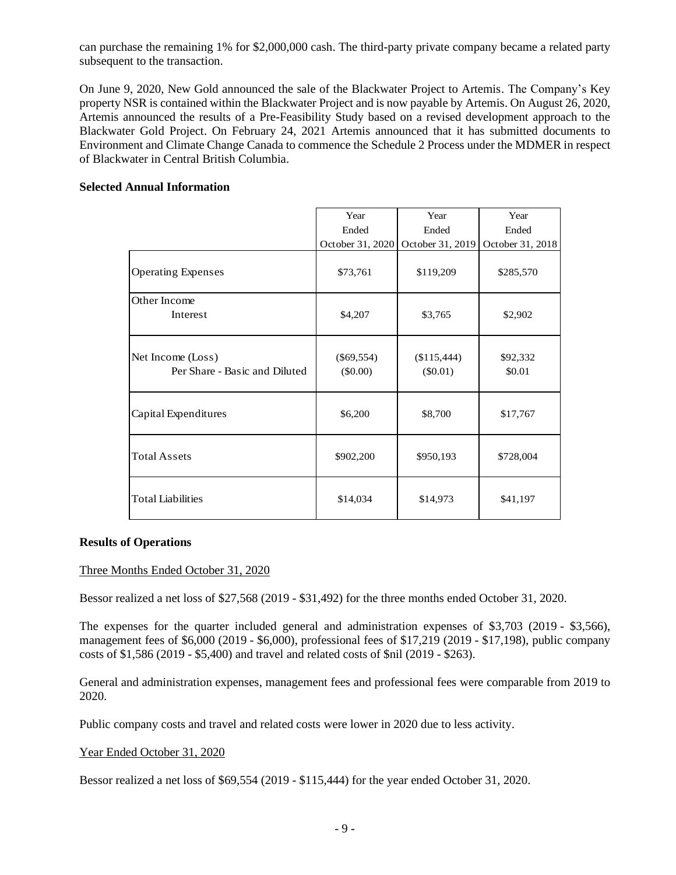can purchase the remaining 1% for \$2,000,000 cash. The third-party private company became a related party subsequent to the transaction.

On June 9, 2020, New Gold announced the sale of the Blackwater Project to Artemis. The Company's Key property NSR is contained within the Blackwater Project and is now payable by Artemis. On August 26, 2020, Artemis announced the results of a Pre-Feasibility Study based on a revised development approach to the Blackwater Gold Project. On February 24, 2021 Artemis announced that it has submitted documents to Environment and Climate Change Canada to commence the Schedule 2 Process under the MDMER in respect of Blackwater in Central British Columbia.

#### **Selected Annual Information**

|                                                    | Year                     | Year                    | Year               |
|----------------------------------------------------|--------------------------|-------------------------|--------------------|
|                                                    | Ended                    | Ended                   | Ended              |
|                                                    | October 31, 2020         | October 31, 2019        | October 31, 2018   |
| <b>Operating Expenses</b>                          | \$73,761                 | \$119,209               | \$285,570          |
| Other Income                                       |                          |                         |                    |
| Interest                                           | \$4,207                  | \$3,765                 | \$2,902            |
| Net Income (Loss)<br>Per Share - Basic and Diluted | $(\$69,554)$<br>(\$0.00) | (\$115,444)<br>(\$0.01) | \$92,332<br>\$0.01 |
| Capital Expenditures                               | \$6,200                  | \$8,700                 | \$17,767           |
| <b>Total Assets</b>                                | \$902,200                | \$950,193               | \$728,004          |
| <b>Total Liabilities</b>                           | \$14,034                 | \$14,973                | \$41,197           |

#### **Results of Operations**

#### Three Months Ended October 31, 2020

Bessor realized a net loss of \$27,568 (2019 - \$31,492) for the three months ended October 31, 2020.

The expenses for the quarter included general and administration expenses of \$3,703 (2019 - \$3,566), management fees of \$6,000 (2019 - \$6,000), professional fees of \$17,219 (2019 - \$17,198), public company costs of \$1,586 (2019 - \$5,400) and travel and related costs of \$nil (2019 - \$263).

General and administration expenses, management fees and professional fees were comparable from 2019 to 2020.

Public company costs and travel and related costs were lower in 2020 due to less activity.

Year Ended October 31, 2020

Bessor realized a net loss of \$69,554 (2019 - \$115,444) for the year ended October 31, 2020.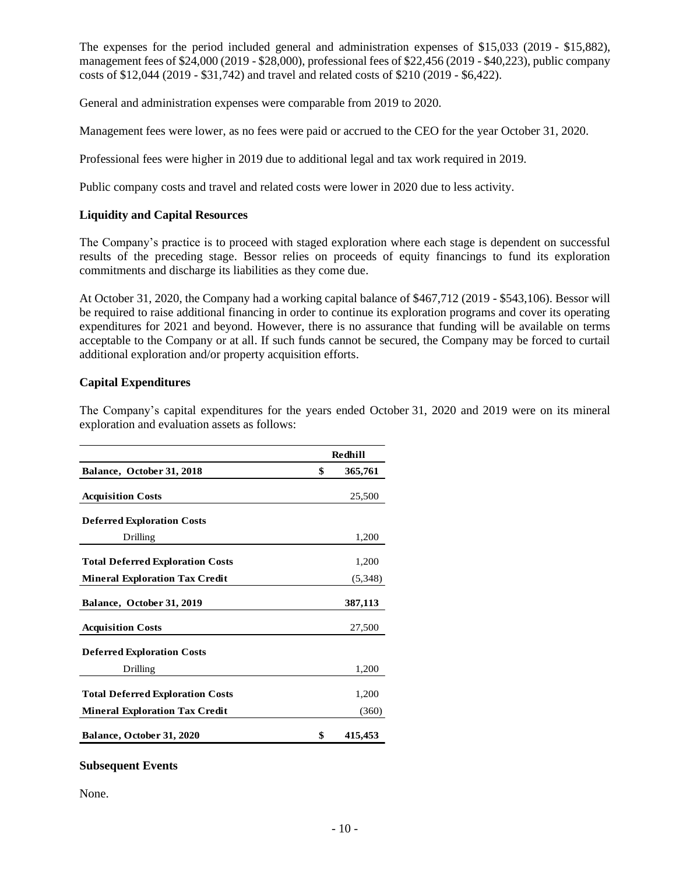The expenses for the period included general and administration expenses of \$15,033 (2019 - \$15,882), management fees of \$24,000 (2019 - \$28,000), professional fees of \$22,456 (2019 - \$40,223), public company costs of \$12,044 (2019 - \$31,742) and travel and related costs of \$210 (2019 - \$6,422).

General and administration expenses were comparable from 2019 to 2020.

Management fees were lower, as no fees were paid or accrued to the CEO for the year October 31, 2020.

Professional fees were higher in 2019 due to additional legal and tax work required in 2019.

Public company costs and travel and related costs were lower in 2020 due to less activity.

#### **Liquidity and Capital Resources**

The Company's practice is to proceed with staged exploration where each stage is dependent on successful results of the preceding stage. Bessor relies on proceeds of equity financings to fund its exploration commitments and discharge its liabilities as they come due.

At October 31, 2020, the Company had a working capital balance of \$467,712 (2019 - \$543,106). Bessor will be required to raise additional financing in order to continue its exploration programs and cover its operating expenditures for 2021 and beyond. However, there is no assurance that funding will be available on terms acceptable to the Company or at all. If such funds cannot be secured, the Company may be forced to curtail additional exploration and/or property acquisition efforts.

#### **Capital Expenditures**

The Company's capital expenditures for the years ended October 31, 2020 and 2019 were on its mineral exploration and evaluation assets as follows:

|                                         | Redhill       |
|-----------------------------------------|---------------|
| Balance, October 31, 2018               | \$<br>365,761 |
| <b>Acquisition Costs</b>                | 25,500        |
| <b>Deferred Exploration Costs</b>       |               |
| Drilling                                | 1,200         |
| <b>Total Deferred Exploration Costs</b> | 1,200         |
| <b>Mineral Exploration Tax Credit</b>   | (5,348)       |
| Balance, October 31, 2019               | 387,113       |
| <b>Acquisition Costs</b>                | 27,500        |
| <b>Deferred Exploration Costs</b>       |               |
| Drilling                                | 1,200         |
| <b>Total Deferred Exploration Costs</b> | 1,200         |
| <b>Mineral Exploration Tax Credit</b>   | (360)         |
| Balance, October 31, 2020               | \$<br>415,453 |

#### **Subsequent Events**

None.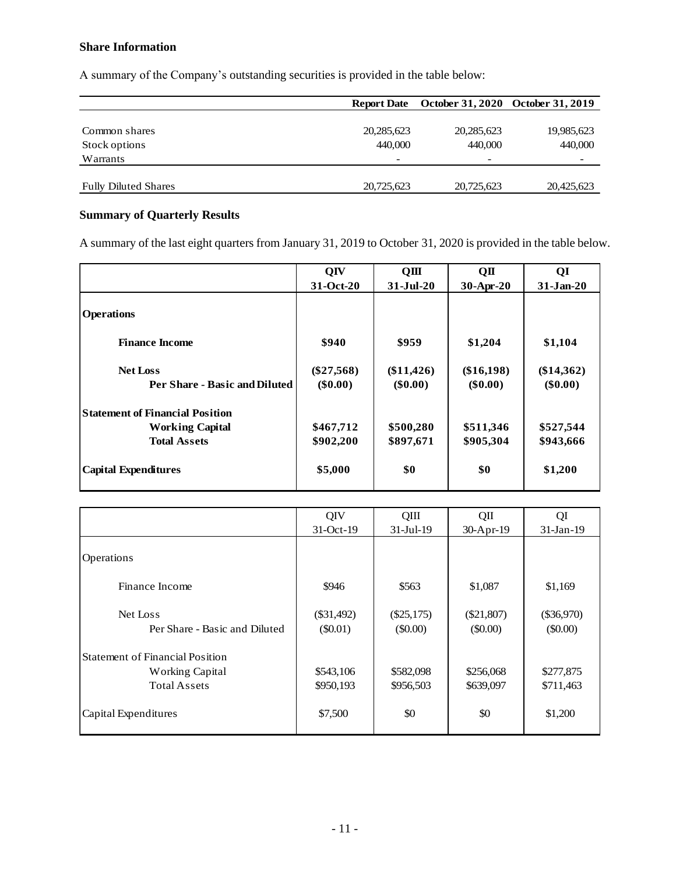## **Share Information**

A summary of the Company's outstanding securities is provided in the table below:

| 20,285,623               | 20,285,623 | 19,985,623                                    |
|--------------------------|------------|-----------------------------------------------|
| 440,000                  | 440,000    | 440,000                                       |
| $\overline{\phantom{0}}$ | -          |                                               |
|                          |            |                                               |
| 20.725.623               | 20,725,623 | 20,425,623                                    |
|                          |            | Report Date October 31, 2020 October 31, 2019 |

# **Summary of Quarterly Results**

A summary of the last eight quarters from January 31, 2019 to October 31, 2020 is provided in the table below.

|                                                                                         | QIV                        | OIII                       | QП                         | QI                         |
|-----------------------------------------------------------------------------------------|----------------------------|----------------------------|----------------------------|----------------------------|
|                                                                                         | 31-Oct-20                  | $31-Jul-20$                | $30-Apr-20$                | $31-Jan-20$                |
| <b>Operations</b>                                                                       |                            |                            |                            |                            |
| <b>Finance Income</b>                                                                   | \$940                      | \$959                      | \$1,204                    | \$1,104                    |
| <b>Net Loss</b><br>Per Share - Basic and Diluted                                        | $(\$27,568)$<br>$(\$0.00)$ | $(\$11,426)$<br>$(\$0.00)$ | $(\$16,198)$<br>$(\$0.00)$ | $(\$14,362)$<br>$(\$0.00)$ |
| <b>Statement of Financial Position</b><br><b>Working Capital</b><br><b>Total Assets</b> | \$467,712<br>\$902,200     | \$500,280<br>\$897,671     | \$511,346<br>\$905,304     | \$527,544<br>\$943,666     |
| <b>Capital Expenditures</b>                                                             | \$5,000                    | \$0                        | \$0                        | \$1,200                    |

|                                        | QIV          | QIII                     | QII          | QI           |
|----------------------------------------|--------------|--------------------------|--------------|--------------|
|                                        | 31-Oct-19    | $31-Ju1-19$<br>30-Apr-19 |              | 31-Jan-19    |
| Operations                             |              |                          |              |              |
| Finance Income                         | \$946        | \$563                    | \$1,087      | \$1,169      |
| Net Loss                               | $(\$31,492)$ | $(\$25,175)$             | $(\$21,807)$ | $(\$36,970)$ |
| Per Share - Basic and Diluted          | $(\$0.01)$   | $(\$0.00)$               | (\$0.00)     | $(\$0.00)$   |
| <b>Statement of Financial Position</b> |              |                          |              |              |
| <b>Working Capital</b>                 | \$543,106    | \$582,098                | \$256,068    | \$277,875    |
| <b>Total Assets</b>                    | \$950,193    | \$956,503                | \$639,097    | \$711,463    |
| Capital Expenditures                   | \$7,500      | \$0                      | \$0          | \$1,200      |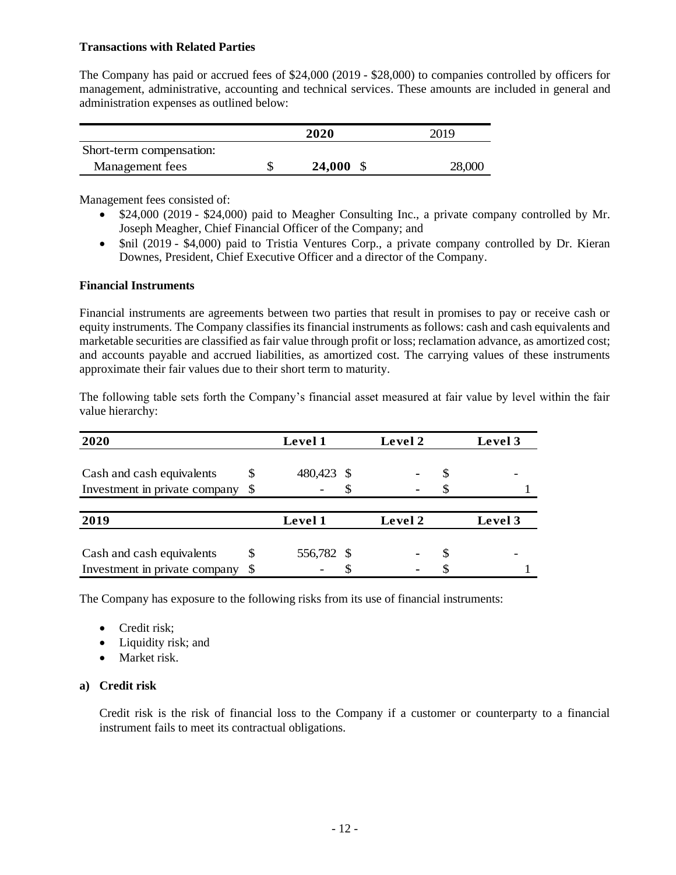#### **Transactions with Related Parties**

The Company has paid or accrued fees of \$24,000 (2019 - \$28,000) to companies controlled by officers for management, administrative, accounting and technical services. These amounts are included in general and administration expenses as outlined below:

|                          | 2020 |                      |        |  |
|--------------------------|------|----------------------|--------|--|
| Short-term compensation: |      |                      |        |  |
| Management fees          |      | $24,000 \text{ }$ \$ | 28,000 |  |

Management fees consisted of:

- \$24,000 (2019 \$24,000) paid to Meagher Consulting Inc., a private company controlled by Mr. Joseph Meagher, Chief Financial Officer of the Company; and
- \$nil (2019 \$4,000) paid to Tristia Ventures Corp., a private company controlled by Dr. Kieran Downes, President, Chief Executive Officer and a director of the Company.

#### **Financial Instruments**

Financial instruments are agreements between two parties that result in promises to pay or receive cash or equity instruments. The Company classifies its financial instruments as follows: cash and cash equivalents and marketable securities are classified as fair value through profit or loss; reclamation advance, as amortized cost; and accounts payable and accrued liabilities, as amortized cost. The carrying values of these instruments approximate their fair values due to their short term to maturity.

The following table sets forth the Company's financial asset measured at fair value by level within the fair value hierarchy:

| 2020                          |     | Level 1         | Level 2 |   | Level 3 |
|-------------------------------|-----|-----------------|---------|---|---------|
|                               |     |                 |         |   |         |
| Cash and cash equivalents     |     | 480,423<br>- 85 |         | S |         |
| Investment in private company | \$  | $\qquad \qquad$ |         |   |         |
| 2019                          |     | Level 1         | Level 2 |   | Level 3 |
|                               |     |                 |         |   |         |
| Cash and cash equivalents     | \$. | 556,782 \$      |         | S |         |
| Investment in private company | S   | -               |         |   |         |

The Company has exposure to the following risks from its use of financial instruments:

- Credit risk;
- Liquidity risk; and
- Market risk.

#### **a) Credit risk**

Credit risk is the risk of financial loss to the Company if a customer or counterparty to a financial instrument fails to meet its contractual obligations.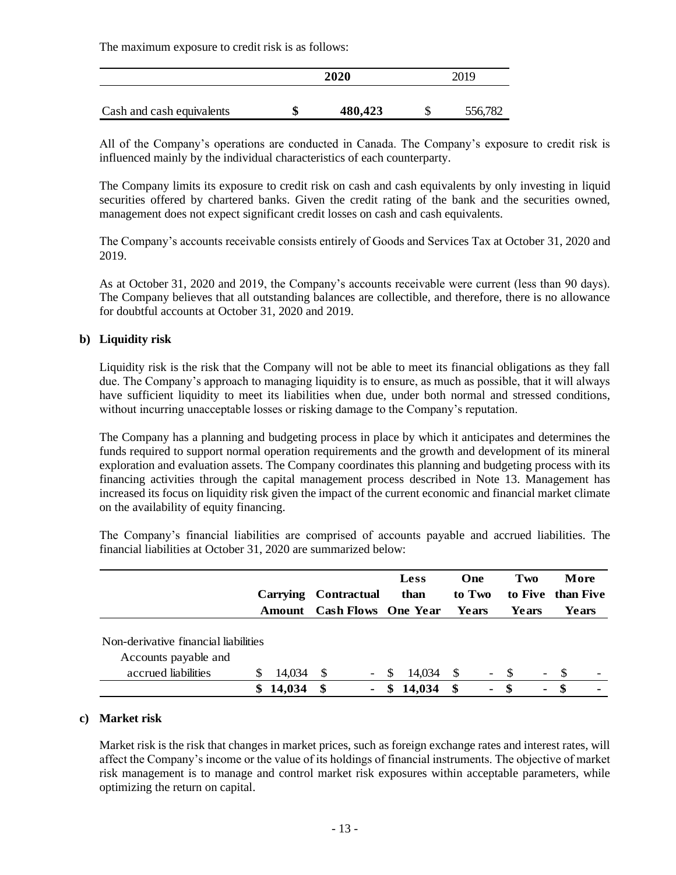The maximum exposure to credit risk is as follows:

|                           | 2020    | 2019    |  |  |  |
|---------------------------|---------|---------|--|--|--|
| Cash and cash equivalents | 480,423 | 556,782 |  |  |  |

All of the Company's operations are conducted in Canada. The Company's exposure to credit risk is influenced mainly by the individual characteristics of each counterparty.

The Company limits its exposure to credit risk on cash and cash equivalents by only investing in liquid securities offered by chartered banks. Given the credit rating of the bank and the securities owned, management does not expect significant credit losses on cash and cash equivalents.

The Company's accounts receivable consists entirely of Goods and Services Tax at October 31, 2020 and 2019.

As at October 31, 2020 and 2019, the Company's accounts receivable were current (less than 90 days). The Company believes that all outstanding balances are collectible, and therefore, there is no allowance for doubtful accounts at October 31, 2020 and 2019.

#### **b) Liquidity risk**

Liquidity risk is the risk that the Company will not be able to meet its financial obligations as they fall due. The Company's approach to managing liquidity is to ensure, as much as possible, that it will always have sufficient liquidity to meet its liabilities when due, under both normal and stressed conditions, without incurring unacceptable losses or risking damage to the Company's reputation.

The Company has a planning and budgeting process in place by which it anticipates and determines the funds required to support normal operation requirements and the growth and development of its mineral exploration and evaluation assets. The Company coordinates this planning and budgeting process with its financing activities through the capital management process described in Note 13. Management has increased its focus on liquidity risk given the impact of the current economic and financial market climate on the availability of equity financing.

The Company's financial liabilities are comprised of accounts payable and accrued liabilities. The financial liabilities at October 31, 2020 are summarized below:

|                                                                                     |                             |    |                |                                            | <b>Less</b> | One          |                          | Two               |                | More |  |
|-------------------------------------------------------------------------------------|-----------------------------|----|----------------|--------------------------------------------|-------------|--------------|--------------------------|-------------------|----------------|------|--|
|                                                                                     | <b>Carrying Contractual</b> |    |                |                                            | than        | to Two       |                          | to Five than Five |                |      |  |
|                                                                                     |                             |    |                | <b>Amount</b> Cash Flows One Year<br>Years |             | <b>Years</b> |                          | Years             |                |      |  |
| Non-derivative financial liabilities<br>Accounts payable and<br>accrued liabilities | 14,034                      | -S | $\sim$         | -S                                         | 14,034      | - S          | $\overline{\phantom{a}}$ | - \$              | -              | -S   |  |
|                                                                                     | 14,034                      | S  | $\blacksquare$ |                                            | 14,034      | S            | $\blacksquare$           | -SS               | $\blacksquare$ | -8   |  |

#### **c) Market risk**

Market risk is the risk that changes in market prices, such as foreign exchange rates and interest rates, will affect the Company's income or the value of its holdings of financial instruments. The objective of market risk management is to manage and control market risk exposures within acceptable parameters, while optimizing the return on capital.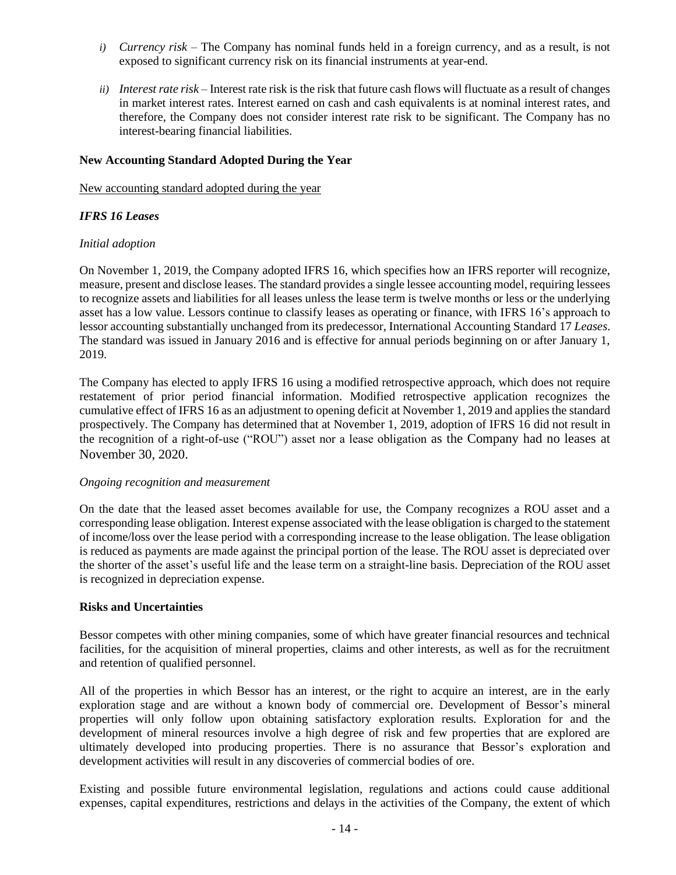- *i) Currency risk –* The Company has nominal funds held in a foreign currency, and as a result, is not exposed to significant currency risk on its financial instruments at year-end.
- *ii) Interest rate risk –* Interest rate risk is the risk that future cash flows will fluctuate as a result of changes in market interest rates. Interest earned on cash and cash equivalents is at nominal interest rates, and therefore, the Company does not consider interest rate risk to be significant. The Company has no interest-bearing financial liabilities.

#### **New Accounting Standard Adopted During the Year**

New accounting standard adopted during the year

#### *IFRS 16 Leases*

#### *Initial adoption*

On November 1, 2019, the Company adopted IFRS 16, which specifies how an IFRS reporter will recognize, measure, present and disclose leases. The standard provides a single lessee accounting model, requiring lessees to recognize assets and liabilities for all leases unless the lease term is twelve months or less or the underlying asset has a low value. Lessors continue to classify leases as operating or finance, with IFRS 16's approach to lessor accounting substantially unchanged from its predecessor, International Accounting Standard 17 *Leases*. The standard was issued in January 2016 and is effective for annual periods beginning on or after January 1, 2019.

The Company has elected to apply IFRS 16 using a modified retrospective approach, which does not require restatement of prior period financial information. Modified retrospective application recognizes the cumulative effect of IFRS 16 as an adjustment to opening deficit at November 1, 2019 and applies the standard prospectively. The Company has determined that at November 1, 2019, adoption of IFRS 16 did not result in the recognition of a right-of-use ("ROU") asset nor a lease obligation as the Company had no leases at November 30, 2020.

#### *Ongoing recognition and measurement*

On the date that the leased asset becomes available for use, the Company recognizes a ROU asset and a corresponding lease obligation. Interest expense associated with the lease obligation is charged to the statement of income/loss over the lease period with a corresponding increase to the lease obligation. The lease obligation is reduced as payments are made against the principal portion of the lease. The ROU asset is depreciated over the shorter of the asset's useful life and the lease term on a straight-line basis. Depreciation of the ROU asset is recognized in depreciation expense.

#### **Risks and Uncertainties**

Bessor competes with other mining companies, some of which have greater financial resources and technical facilities, for the acquisition of mineral properties, claims and other interests, as well as for the recruitment and retention of qualified personnel.

All of the properties in which Bessor has an interest, or the right to acquire an interest, are in the early exploration stage and are without a known body of commercial ore. Development of Bessor's mineral properties will only follow upon obtaining satisfactory exploration results. Exploration for and the development of mineral resources involve a high degree of risk and few properties that are explored are ultimately developed into producing properties. There is no assurance that Bessor's exploration and development activities will result in any discoveries of commercial bodies of ore.

Existing and possible future environmental legislation, regulations and actions could cause additional expenses, capital expenditures, restrictions and delays in the activities of the Company, the extent of which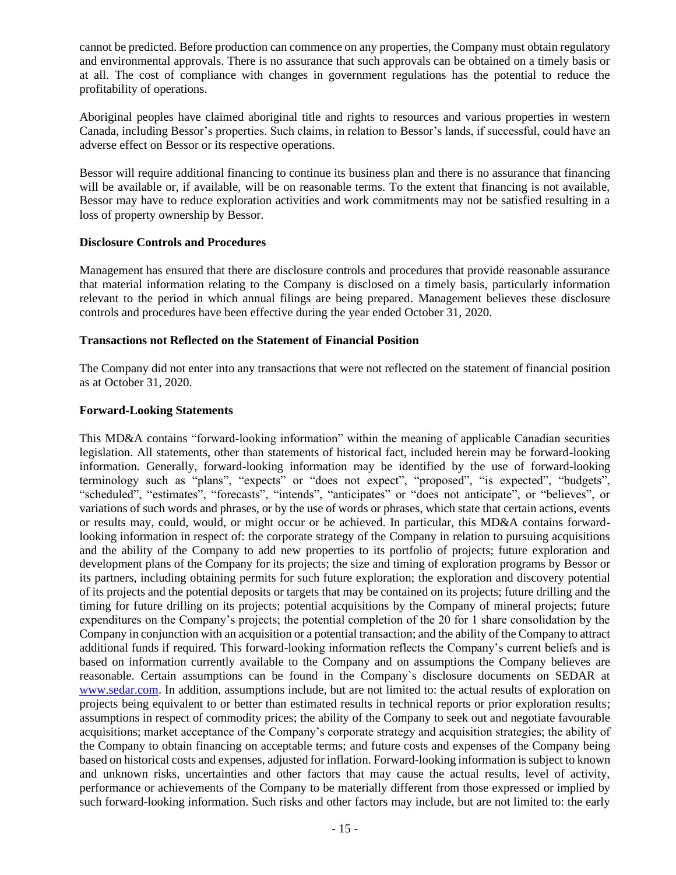cannot be predicted. Before production can commence on any properties, the Company must obtain regulatory and environmental approvals. There is no assurance that such approvals can be obtained on a timely basis or at all. The cost of compliance with changes in government regulations has the potential to reduce the profitability of operations.

Aboriginal peoples have claimed aboriginal title and rights to resources and various properties in western Canada, including Bessor's properties. Such claims, in relation to Bessor's lands, if successful, could have an adverse effect on Bessor or its respective operations.

Bessor will require additional financing to continue its business plan and there is no assurance that financing will be available or, if available, will be on reasonable terms. To the extent that financing is not available, Bessor may have to reduce exploration activities and work commitments may not be satisfied resulting in a loss of property ownership by Bessor.

#### **Disclosure Controls and Procedures**

Management has ensured that there are disclosure controls and procedures that provide reasonable assurance that material information relating to the Company is disclosed on a timely basis, particularly information relevant to the period in which annual filings are being prepared. Management believes these disclosure controls and procedures have been effective during the year ended October 31, 2020.

#### **Transactions not Reflected on the Statement of Financial Position**

The Company did not enter into any transactions that were not reflected on the statement of financial position as at October 31, 2020.

#### **Forward-Looking Statements**

This MD&A contains "forward-looking information" within the meaning of applicable Canadian securities legislation. All statements, other than statements of historical fact, included herein may be forward-looking information. Generally, forward-looking information may be identified by the use of forward-looking terminology such as "plans", "expects" or "does not expect", "proposed", "is expected", "budgets", "scheduled", "estimates", "forecasts", "intends", "anticipates" or "does not anticipate", or "believes", or variations of such words and phrases, or by the use of words or phrases, which state that certain actions, events or results may, could, would, or might occur or be achieved. In particular, this MD&A contains forwardlooking information in respect of: the corporate strategy of the Company in relation to pursuing acquisitions and the ability of the Company to add new properties to its portfolio of projects; future exploration and development plans of the Company for its projects; the size and timing of exploration programs by Bessor or its partners, including obtaining permits for such future exploration; the exploration and discovery potential of its projects and the potential deposits or targets that may be contained on its projects; future drilling and the timing for future drilling on its projects; potential acquisitions by the Company of mineral projects; future expenditures on the Company's projects; the potential completion of the 20 for 1 share consolidation by the Company in conjunction with an acquisition or a potential transaction; and the ability of the Company to attract additional funds if required. This forward-looking information reflects the Company's current beliefs and is based on information currently available to the Company and on assumptions the Company believes are reasonable. Certain assumptions can be found in the Company`s disclosure documents on SEDAR at [www.sedar.com.](http://www.sedar.com/) In addition, assumptions include, but are not limited to: the actual results of exploration on projects being equivalent to or better than estimated results in technical reports or prior exploration results; assumptions in respect of commodity prices; the ability of the Company to seek out and negotiate favourable acquisitions; market acceptance of the Company's corporate strategy and acquisition strategies; the ability of the Company to obtain financing on acceptable terms; and future costs and expenses of the Company being based on historical costs and expenses, adjusted for inflation. Forward-looking information is subject to known and unknown risks, uncertainties and other factors that may cause the actual results, level of activity, performance or achievements of the Company to be materially different from those expressed or implied by such forward-looking information. Such risks and other factors may include, but are not limited to: the early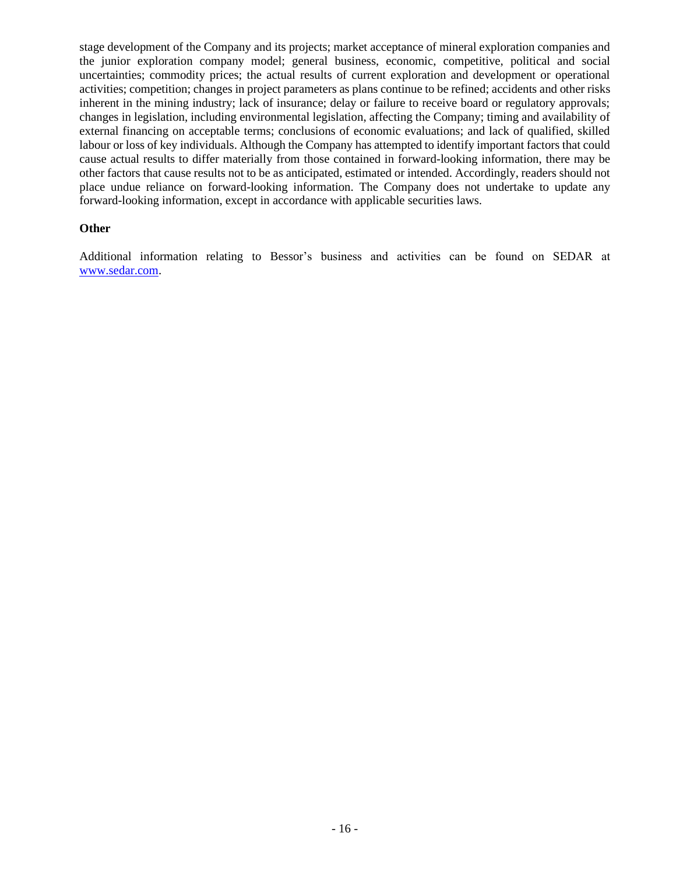stage development of the Company and its projects; market acceptance of mineral exploration companies and the junior exploration company model; general business, economic, competitive, political and social uncertainties; commodity prices; the actual results of current exploration and development or operational activities; competition; changes in project parameters as plans continue to be refined; accidents and other risks inherent in the mining industry; lack of insurance; delay or failure to receive board or regulatory approvals; changes in legislation, including environmental legislation, affecting the Company; timing and availability of external financing on acceptable terms; conclusions of economic evaluations; and lack of qualified, skilled labour or loss of key individuals. Although the Company has attempted to identify important factors that could cause actual results to differ materially from those contained in forward-looking information, there may be other factors that cause results not to be as anticipated, estimated or intended. Accordingly, readers should not place undue reliance on forward-looking information. The Company does not undertake to update any forward-looking information, except in accordance with applicable securities laws.

#### **Other**

Additional information relating to Bessor's business and activities can be found on SEDAR at [www.sedar.com.](http://www.sedar.com/)